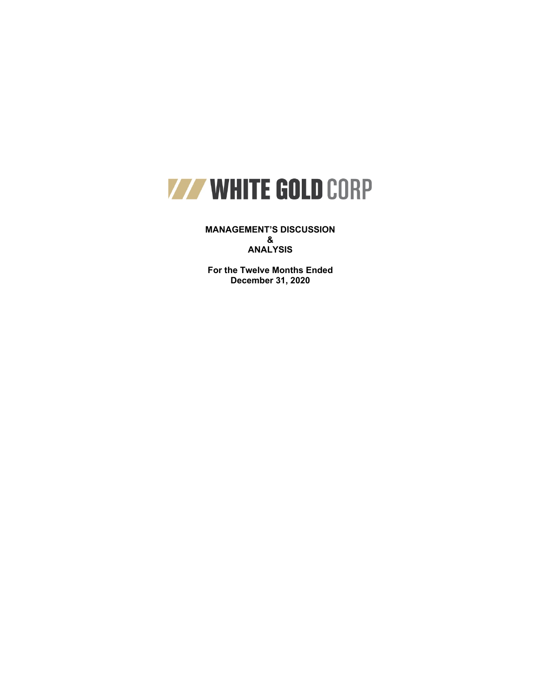

**MANAGEMENT'S DISCUSSION & ANALYSIS**

**For the Twelve Months Ended December 31, 2020**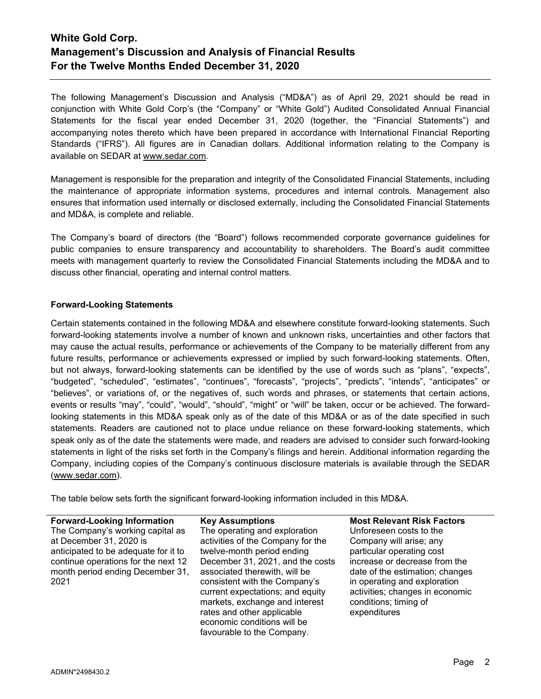The following Management's Discussion and Analysis ("MD&A") as of April 29, 2021 should be read in conjunction with White Gold Corp's (the "Company" or "White Gold") Audited Consolidated Annual Financial Statements for the fiscal year ended December 31, 2020 (together, the "Financial Statements") and accompanying notes thereto which have been prepared in accordance with International Financial Reporting Standards ("IFRS"). All figures are in Canadian dollars. Additional information relating to the Company is available on SEDAR at www.sedar.com.

Management is responsible for the preparation and integrity of the Consolidated Financial Statements, including the maintenance of appropriate information systems, procedures and internal controls. Management also ensures that information used internally or disclosed externally, including the Consolidated Financial Statements and MD&A, is complete and reliable.

The Company's board of directors (the "Board") follows recommended corporate governance guidelines for public companies to ensure transparency and accountability to shareholders. The Board's audit committee meets with management quarterly to review the Consolidated Financial Statements including the MD&A and to discuss other financial, operating and internal control matters.

# **Forward-Looking Statements**

Certain statements contained in the following MD&A and elsewhere constitute forward-looking statements. Such forward-looking statements involve a number of known and unknown risks, uncertainties and other factors that may cause the actual results, performance or achievements of the Company to be materially different from any future results, performance or achievements expressed or implied by such forward-looking statements. Often, but not always, forward-looking statements can be identified by the use of words such as "plans", "expects", "budgeted", "scheduled", "estimates", "continues", "forecasts", "projects", "predicts", "intends", "anticipates" or "believes", or variations of, or the negatives of, such words and phrases, or statements that certain actions, events or results "may", "could", "would", "should", "might" or "will" be taken, occur or be achieved. The forwardlooking statements in this MD&A speak only as of the date of this MD&A or as of the date specified in such statements. Readers are cautioned not to place undue reliance on these forward-looking statements, which speak only as of the date the statements were made, and readers are advised to consider such forward-looking statements in light of the risks set forth in the Company's filings and herein. Additional information regarding the Company, including copies of the Company's continuous disclosure materials is available through the SEDAR [\(www.sedar.com\)](http://www.sedar.com/).

The table below sets forth the significant forward-looking information included in this MD&A.

# The Company's working capital as at December 31, 2020 is anticipated to be adequate for it to continue operations for the next 12 month period ending December 31, 2021

The operating and exploration activities of the Company for the twelve-month period ending December 31, 2021, and the costs associated therewith, will be consistent with the Company's current expectations; and equity markets, exchange and interest rates and other applicable economic conditions will be favourable to the Company.

**Forward-Looking Information Key Assumptions Most Relevant Risk Factors** Unforeseen costs to the Company will arise; any particular operating cost increase or decrease from the date of the estimation; changes in operating and exploration activities; changes in economic conditions; timing of expenditures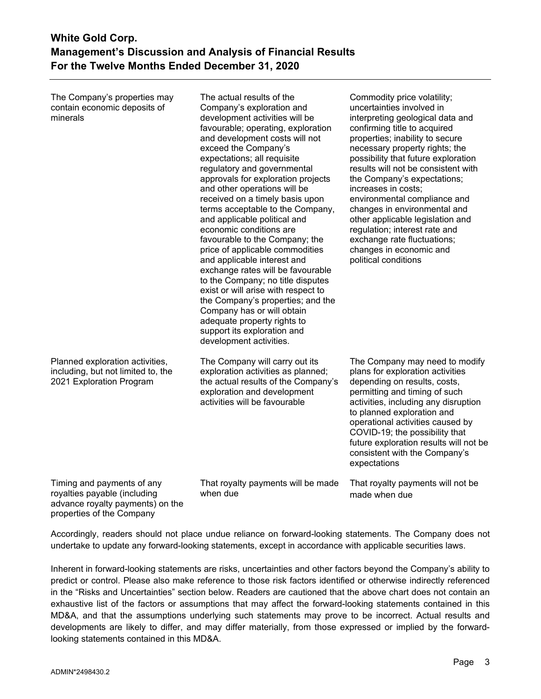The Company's properties may contain economic deposits of minerals

The actual results of the Company's exploration and development activities will be favourable; operating, exploration and development costs will not exceed the Company's expectations; all requisite regulatory and governmental approvals for exploration projects and other operations will be received on a timely basis upon terms acceptable to the Company, and applicable political and economic conditions are favourable to the Company; the price of applicable commodities and applicable interest and exchange rates will be favourable to the Company; no title disputes exist or will arise with respect to the Company's properties; and the Company has or will obtain adequate property rights to support its exploration and development activities.

Planned exploration activities, including, but not limited to, the 2021 Exploration Program

The Company will carry out its exploration activities as planned; the actual results of the Company's exploration and development activities will be favourable

changes in environmental and other applicable legislation and regulation; interest rate and exchange rate fluctuations; changes in economic and political conditions

Commodity price volatility; uncertainties involved in

increases in costs;

interpreting geological data and confirming title to acquired properties; inability to secure necessary property rights; the possibility that future exploration results will not be consistent with the Company's expectations;

environmental compliance and

The Company may need to modify plans for exploration activities depending on results, costs, permitting and timing of such activities, including any disruption to planned exploration and operational activities caused by COVID-19; the possibility that future exploration results will not be consistent with the Company's expectations

Timing and payments of any royalties payable (including advance royalty payments) on the properties of the Company

That royalty payments will be made when due

That royalty payments will not be made when due

Accordingly, readers should not place undue reliance on forward-looking statements. The Company does not undertake to update any forward-looking statements, except in accordance with applicable securities laws.

Inherent in forward-looking statements are risks, uncertainties and other factors beyond the Company's ability to predict or control. Please also make reference to those risk factors identified or otherwise indirectly referenced in the "Risks and Uncertainties" section below. Readers are cautioned that the above chart does not contain an exhaustive list of the factors or assumptions that may affect the forward-looking statements contained in this MD&A, and that the assumptions underlying such statements may prove to be incorrect. Actual results and developments are likely to differ, and may differ materially, from those expressed or implied by the forwardlooking statements contained in this MD&A.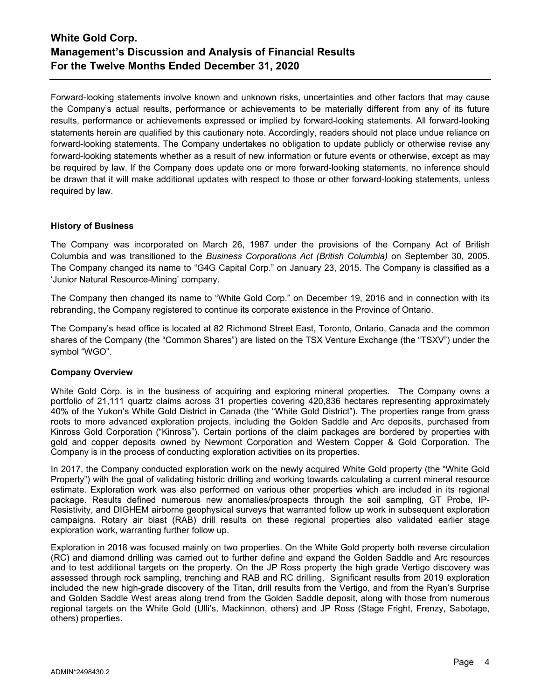Forward-looking statements involve known and unknown risks, uncertainties and other factors that may cause the Company's actual results, performance or achievements to be materially different from any of its future results, performance or achievements expressed or implied by forward-looking statements. All forward-looking statements herein are qualified by this cautionary note. Accordingly, readers should not place undue reliance on forward-looking statements. The Company undertakes no obligation to update publicly or otherwise revise any forward-looking statements whether as a result of new information or future events or otherwise, except as may be required by law. If the Company does update one or more forward-looking statements, no inference should be drawn that it will make additional updates with respect to those or other forward-looking statements, unless required by law.

### **History of Business**

The Company was incorporated on March 26, 1987 under the provisions of the Company Act of British Columbia and was transitioned to the *Business Corporations Act (British Columbia)* on September 30, 2005. The Company changed its name to "G4G Capital Corp." on January 23, 2015. The Company is classified as a 'Junior Natural Resource-Mining' company.

The Company then changed its name to "White Gold Corp." on December 19, 2016 and in connection with its rebranding, the Company registered to continue its corporate existence in the Province of Ontario.

The Company's head office is located at 82 Richmond Street East, Toronto, Ontario, Canada and the common shares of the Company (the "Common Shares") are listed on the TSX Venture Exchange (the "TSXV") under the symbol "WGO".

### **Company Overview**

White Gold Corp. is in the business of acquiring and exploring mineral properties. The Company owns a portfolio of 21,111 quartz claims across 31 properties covering 420,836 hectares representing approximately 40% of the Yukon's White Gold District in Canada (the "White Gold District"). The properties range from grass roots to more advanced exploration projects, including the Golden Saddle and Arc deposits, purchased from Kinross Gold Corporation ("Kinross"). Certain portions of the claim packages are bordered by properties with gold and copper deposits owned by Newmont Corporation and Western Copper & Gold Corporation. The Company is in the process of conducting exploration activities on its properties.

In 2017, the Company conducted exploration work on the newly acquired White Gold property (the "White Gold Property") with the goal of validating historic drilling and working towards calculating a current mineral resource estimate. Exploration work was also performed on various other properties which are included in its regional package. Results defined numerous new anomalies/prospects through the soil sampling, GT Probe, IP-Resistivity, and DIGHEM airborne geophysical surveys that warranted follow up work in subsequent exploration campaigns. Rotary air blast (RAB) drill results on these regional properties also validated earlier stage exploration work, warranting further follow up.

Exploration in 2018 was focused mainly on two properties. On the White Gold property both reverse circulation (RC) and diamond drilling was carried out to further define and expand the Golden Saddle and Arc resources and to test additional targets on the property. On the JP Ross property the high grade Vertigo discovery was assessed through rock sampling, trenching and RAB and RC drilling, Significant results from 2019 exploration included the new high-grade discovery of the Titan, drill results from the Vertigo, and from the Ryan's Surprise and Golden Saddle West areas along trend from the Golden Saddle deposit, along with those from numerous regional targets on the White Gold (Ulli's, Mackinnon, others) and JP Ross (Stage Fright, Frenzy, Sabotage, others) properties.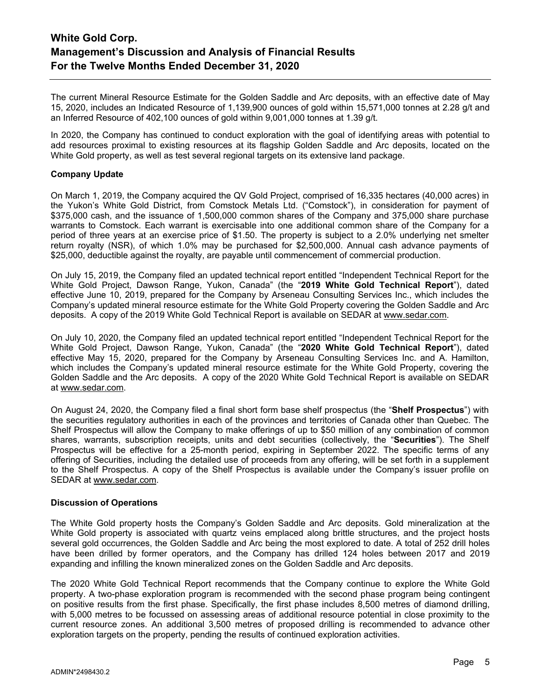The current Mineral Resource Estimate for the Golden Saddle and Arc deposits, with an effective date of May 15, 2020, includes an Indicated Resource of 1,139,900 ounces of gold within 15,571,000 tonnes at 2.28 g/t and an Inferred Resource of 402,100 ounces of gold within 9,001,000 tonnes at 1.39 g/t.

In 2020, the Company has continued to conduct exploration with the goal of identifying areas with potential to add resources proximal to existing resources at its flagship Golden Saddle and Arc deposits, located on the White Gold property, as well as test several regional targets on its extensive land package.

### **Company Update**

On March 1, 2019, the Company acquired the QV Gold Project, comprised of 16,335 hectares (40,000 acres) in the Yukon's White Gold District, from Comstock Metals Ltd. ("Comstock"), in consideration for payment of \$375,000 cash, and the issuance of 1,500,000 common shares of the Company and 375,000 share purchase warrants to Comstock. Each warrant is exercisable into one additional common share of the Company for a period of three years at an exercise price of \$1.50. The property is subject to a 2.0% underlying net smelter return royalty (NSR), of which 1.0% may be purchased for \$2,500,000. Annual cash advance payments of \$25,000, deductible against the royalty, are payable until commencement of commercial production.

On July 15, 2019, the Company filed an updated technical report entitled "Independent Technical Report for the White Gold Project, Dawson Range, Yukon, Canada" (the "**2019 White Gold Technical Report**"), dated effective June 10, 2019, prepared for the Company by Arseneau Consulting Services Inc., which includes the Company's updated mineral resource estimate for the White Gold Property covering the Golden Saddle and Arc deposits. A copy of the 2019 White Gold Technical Report is available on SEDAR at [www.sedar.com.](http://www.sedar.com/)

On July 10, 2020, the Company filed an updated technical report entitled "Independent Technical Report for the White Gold Project, Dawson Range, Yukon, Canada" (the "**2020 White Gold Technical Report**"), dated effective May 15, 2020, prepared for the Company by Arseneau Consulting Services Inc. and A. Hamilton, which includes the Company's updated mineral resource estimate for the White Gold Property, covering the Golden Saddle and the Arc deposits. A copy of the 2020 White Gold Technical Report is available on SEDAR at [www.sedar.com.](http://www.sedar.com/)

On August 24, 2020, the Company filed a final short form base shelf prospectus (the "**Shelf Prospectus**") with the securities regulatory authorities in each of the provinces and territories of Canada other than Quebec. The Shelf Prospectus will allow the Company to make offerings of up to \$50 million of any combination of common shares, warrants, subscription receipts, units and debt securities (collectively, the "**Securities**"). The Shelf Prospectus will be effective for a 25-month period, expiring in September 2022. The specific terms of any offering of Securities, including the detailed use of proceeds from any offering, will be set forth in a supplement to the Shelf Prospectus. A copy of the Shelf Prospectus is available under the Company's issuer profile on SEDAR at [www.sedar.com.](http://www.sedar.com/)

### **Discussion of Operations**

The White Gold property hosts the Company's Golden Saddle and Arc deposits. Gold mineralization at the White Gold property is associated with quartz veins emplaced along brittle structures, and the project hosts several gold occurrences, the Golden Saddle and Arc being the most explored to date. A total of 252 drill holes have been drilled by former operators, and the Company has drilled 124 holes between 2017 and 2019 expanding and infilling the known mineralized zones on the Golden Saddle and Arc deposits.

The 2020 White Gold Technical Report recommends that the Company continue to explore the White Gold property. A two-phase exploration program is recommended with the second phase program being contingent on positive results from the first phase. Specifically, the first phase includes 8,500 metres of diamond drilling, with 5,000 metres to be focussed on assessing areas of additional resource potential in close proximity to the current resource zones. An additional 3,500 metres of proposed drilling is recommended to advance other exploration targets on the property, pending the results of continued exploration activities.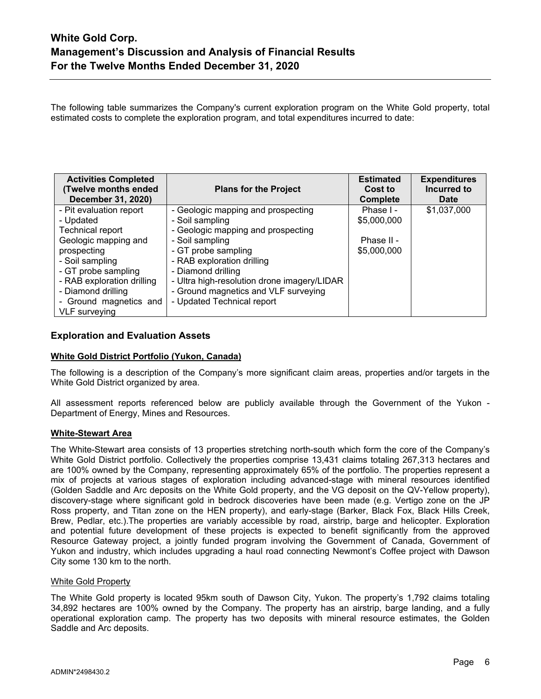The following table summarizes the Company's current exploration program on the White Gold property, total estimated costs to complete the exploration program, and total expenditures incurred to date:

| <b>Activities Completed</b><br><b>(Twelve months ended</b><br>December 31, 2020) | <b>Plans for the Project</b>                | <b>Estimated</b><br>Cost to<br><b>Complete</b> | <b>Expenditures</b><br>Incurred to<br>Date |
|----------------------------------------------------------------------------------|---------------------------------------------|------------------------------------------------|--------------------------------------------|
| - Pit evaluation report                                                          | - Geologic mapping and prospecting          | Phase I -                                      | \$1,037,000                                |
| - Updated                                                                        | - Soil sampling                             | \$5,000,000                                    |                                            |
| <b>Technical report</b>                                                          | - Geologic mapping and prospecting          |                                                |                                            |
| Geologic mapping and                                                             | - Soil sampling                             | Phase II -                                     |                                            |
| prospecting                                                                      | - GT probe sampling                         | \$5,000,000                                    |                                            |
| - Soil sampling                                                                  | - RAB exploration drilling                  |                                                |                                            |
| - GT probe sampling                                                              | - Diamond drilling                          |                                                |                                            |
| - RAB exploration drilling                                                       | - Ultra high-resolution drone imagery/LIDAR |                                                |                                            |
| - Diamond drilling                                                               | - Ground magnetics and VLF surveying        |                                                |                                            |
| - Ground magnetics and                                                           | - Updated Technical report                  |                                                |                                            |
| VLF surveying                                                                    |                                             |                                                |                                            |

# **Exploration and Evaluation Assets**

### **White Gold District Portfolio (Yukon, Canada)**

The following is a description of the Company's more significant claim areas, properties and/or targets in the White Gold District organized by area.

All assessment reports referenced below are publicly available through the Government of the Yukon - Department of Energy, Mines and Resources.

### **White-Stewart Area**

The White-Stewart area consists of 13 properties stretching north-south which form the core of the Company's White Gold District portfolio. Collectively the properties comprise 13,431 claims totaling 267,313 hectares and are 100% owned by the Company, representing approximately 65% of the portfolio. The properties represent a mix of projects at various stages of exploration including advanced-stage with mineral resources identified (Golden Saddle and Arc deposits on the White Gold property, and the VG deposit on the QV-Yellow property), discovery-stage where significant gold in bedrock discoveries have been made (e.g. Vertigo zone on the JP Ross property, and Titan zone on the HEN property), and early-stage (Barker, Black Fox, Black Hills Creek, Brew, Pedlar, etc.).The properties are variably accessible by road, airstrip, barge and helicopter. Exploration and potential future development of these projects is expected to benefit significantly from the approved Resource Gateway project, a jointly funded program involving the Government of Canada, Government of Yukon and industry, which includes upgrading a haul road connecting Newmont's Coffee project with Dawson City some 130 km to the north.

### White Gold Property

The White Gold property is located 95km south of Dawson City, Yukon. The property's 1,792 claims totaling 34,892 hectares are 100% owned by the Company. The property has an airstrip, barge landing, and a fully operational exploration camp. The property has two deposits with mineral resource estimates, the Golden Saddle and Arc deposits.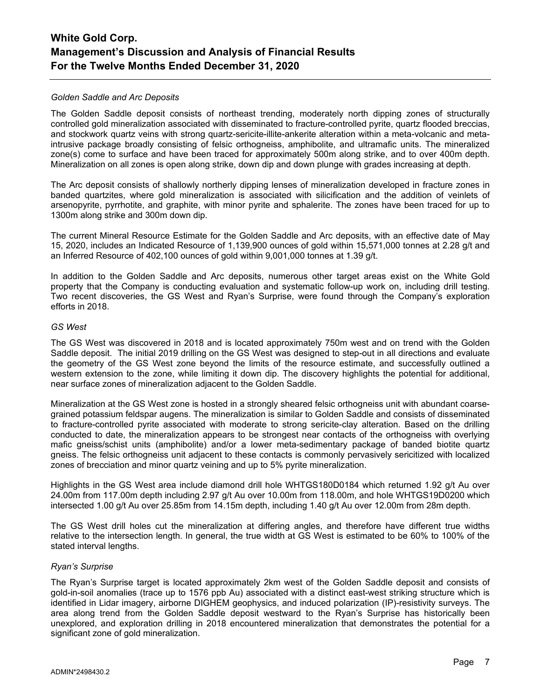### *Golden Saddle and Arc Deposits*

The Golden Saddle deposit consists of northeast trending, moderately north dipping zones of structurally controlled gold mineralization associated with disseminated to fracture-controlled pyrite, quartz flooded breccias, and stockwork quartz veins with strong quartz-sericite-illite-ankerite alteration within a meta-volcanic and metaintrusive package broadly consisting of felsic orthogneiss, amphibolite, and ultramafic units. The mineralized zone(s) come to surface and have been traced for approximately 500m along strike, and to over 400m depth. Mineralization on all zones is open along strike, down dip and down plunge with grades increasing at depth.

The Arc deposit consists of shallowly northerly dipping lenses of mineralization developed in fracture zones in banded quartzites, where gold mineralization is associated with silicification and the addition of veinlets of arsenopyrite, pyrrhotite, and graphite, with minor pyrite and sphalerite. The zones have been traced for up to 1300m along strike and 300m down dip.

The current Mineral Resource Estimate for the Golden Saddle and Arc deposits, with an effective date of May 15, 2020, includes an Indicated Resource of 1,139,900 ounces of gold within 15,571,000 tonnes at 2.28 g/t and an Inferred Resource of 402,100 ounces of gold within 9,001,000 tonnes at 1.39 g/t.

In addition to the Golden Saddle and Arc deposits, numerous other target areas exist on the White Gold property that the Company is conducting evaluation and systematic follow-up work on, including drill testing. Two recent discoveries, the GS West and Ryan's Surprise, were found through the Company's exploration efforts in 2018.

### *GS West*

The GS West was discovered in 2018 and is located approximately 750m west and on trend with the Golden Saddle deposit. The initial 2019 drilling on the GS West was designed to step-out in all directions and evaluate the geometry of the GS West zone beyond the limits of the resource estimate, and successfully outlined a western extension to the zone, while limiting it down dip. The discovery highlights the potential for additional, near surface zones of mineralization adjacent to the Golden Saddle.

Mineralization at the GS West zone is hosted in a strongly sheared felsic orthogneiss unit with abundant coarsegrained potassium feldspar augens. The mineralization is similar to Golden Saddle and consists of disseminated to fracture-controlled pyrite associated with moderate to strong sericite-clay alteration. Based on the drilling conducted to date, the mineralization appears to be strongest near contacts of the orthogneiss with overlying mafic gneiss/schist units (amphibolite) and/or a lower meta-sedimentary package of banded biotite quartz gneiss. The felsic orthogneiss unit adjacent to these contacts is commonly pervasively sericitized with localized zones of brecciation and minor quartz veining and up to 5% pyrite mineralization.

Highlights in the GS West area include diamond drill hole WHTGS180D0184 which returned 1.92 g/t Au over 24.00m from 117.00m depth including 2.97 g/t Au over 10.00m from 118.00m, and hole WHTGS19D0200 which intersected 1.00 g/t Au over 25.85m from 14.15m depth, including 1.40 g/t Au over 12.00m from 28m depth.

The GS West drill holes cut the mineralization at differing angles, and therefore have different true widths relative to the intersection length. In general, the true width at GS West is estimated to be 60% to 100% of the stated interval lengths.

### *Ryan's Surprise*

The Ryan's Surprise target is located approximately 2km west of the Golden Saddle deposit and consists of gold-in-soil anomalies (trace up to 1576 ppb Au) associated with a distinct east-west striking structure which is identified in Lidar imagery, airborne DIGHEM geophysics, and induced polarization (IP)-resistivity surveys. The area along trend from the Golden Saddle deposit westward to the Ryan's Surprise has historically been unexplored, and exploration drilling in 2018 encountered mineralization that demonstrates the potential for a significant zone of gold mineralization.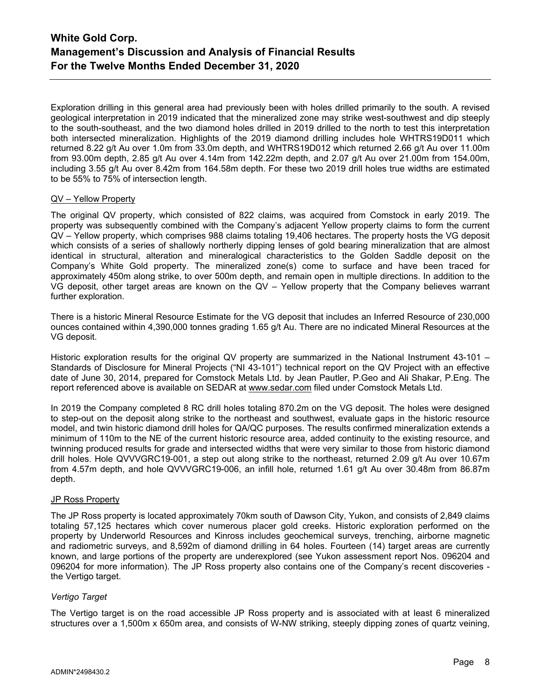Exploration drilling in this general area had previously been with holes drilled primarily to the south. A revised geological interpretation in 2019 indicated that the mineralized zone may strike west-southwest and dip steeply to the south-southeast, and the two diamond holes drilled in 2019 drilled to the north to test this interpretation both intersected mineralization. Highlights of the 2019 diamond drilling includes hole WHTRS19D011 which returned 8.22 g/t Au over 1.0m from 33.0m depth, and WHTRS19D012 which returned 2.66 g/t Au over 11.00m from 93.00m depth, 2.85 g/t Au over 4.14m from 142.22m depth, and 2.07 g/t Au over 21.00m from 154.00m, including 3.55 g/t Au over 8.42m from 164.58m depth. For these two 2019 drill holes true widths are estimated to be 55% to 75% of intersection length.

### QV – Yellow Property

The original QV property, which consisted of 822 claims, was acquired from Comstock in early 2019. The property was subsequently combined with the Company's adjacent Yellow property claims to form the current QV – Yellow property, which comprises 988 claims totaling 19,406 hectares. The property hosts the VG deposit which consists of a series of shallowly northerly dipping lenses of gold bearing mineralization that are almost identical in structural, alteration and mineralogical characteristics to the Golden Saddle deposit on the Company's White Gold property. The mineralized zone(s) come to surface and have been traced for approximately 450m along strike, to over 500m depth, and remain open in multiple directions. In addition to the VG deposit, other target areas are known on the QV – Yellow property that the Company believes warrant further exploration.

There is a historic Mineral Resource Estimate for the VG deposit that includes an Inferred Resource of 230,000 ounces contained within 4,390,000 tonnes grading 1.65 g/t Au. There are no indicated Mineral Resources at the VG deposit.

Historic exploration results for the original QV property are summarized in the National Instrument 43-101 – Standards of Disclosure for Mineral Projects ("NI 43-101") technical report on the QV Project with an effective date of June 30, 2014, prepared for Comstock Metals Ltd. by Jean Pautler, P.Geo and Ali Shakar, P.Eng. The report referenced above is available on SEDAR at [www.sedar.com](http://www.sedar.com/) filed under Comstock Metals Ltd.

In 2019 the Company completed 8 RC drill holes totaling 870.2m on the VG deposit. The holes were designed to step-out on the deposit along strike to the northeast and southwest, evaluate gaps in the historic resource model, and twin historic diamond drill holes for QA/QC purposes. The results confirmed mineralization extends a minimum of 110m to the NE of the current historic resource area, added continuity to the existing resource, and twinning produced results for grade and intersected widths that were very similar to those from historic diamond drill holes. Hole QVVVGRC19-001, a step out along strike to the northeast, returned 2.09 g/t Au over 10.67m from 4.57m depth, and hole QVVVGRC19-006, an infill hole, returned 1.61 g/t Au over 30.48m from 86.87m depth.

## JP Ross Property

The JP Ross property is located approximately 70km south of Dawson City, Yukon, and consists of 2,849 claims totaling 57,125 hectares which cover numerous placer gold creeks. Historic exploration performed on the property by Underworld Resources and Kinross includes geochemical surveys, trenching, airborne magnetic and radiometric surveys, and 8,592m of diamond drilling in 64 holes. Fourteen (14) target areas are currently known, and large portions of the property are underexplored (see Yukon assessment report Nos. 096204 and 096204 for more information). The JP Ross property also contains one of the Company's recent discoveries the Vertigo target.

# *Vertigo Target*

The Vertigo target is on the road accessible JP Ross property and is associated with at least 6 mineralized structures over a 1,500m x 650m area, and consists of W-NW striking, steeply dipping zones of quartz veining,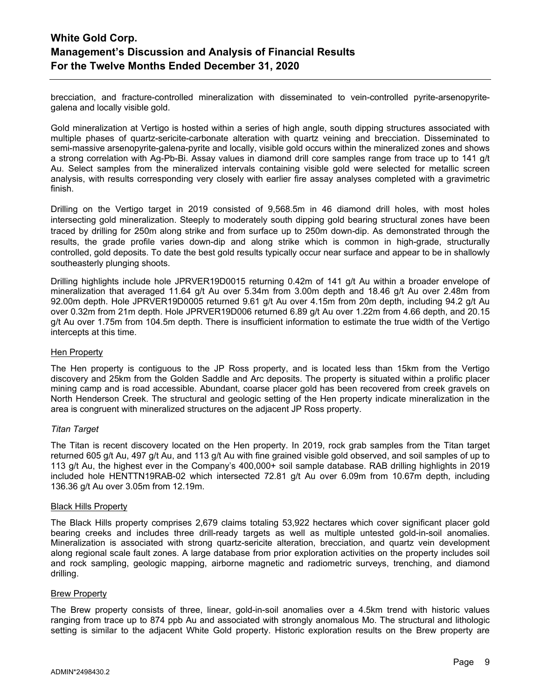brecciation, and fracture-controlled mineralization with disseminated to vein-controlled pyrite-arsenopyritegalena and locally visible gold.

Gold mineralization at Vertigo is hosted within a series of high angle, south dipping structures associated with multiple phases of quartz-sericite-carbonate alteration with quartz veining and brecciation. Disseminated to semi-massive arsenopyrite-galena-pyrite and locally, visible gold occurs within the mineralized zones and shows a strong correlation with Ag-Pb-Bi. Assay values in diamond drill core samples range from trace up to 141 g/t Au. Select samples from the mineralized intervals containing visible gold were selected for metallic screen analysis, with results corresponding very closely with earlier fire assay analyses completed with a gravimetric finish.

Drilling on the Vertigo target in 2019 consisted of 9,568.5m in 46 diamond drill holes, with most holes intersecting gold mineralization. Steeply to moderately south dipping gold bearing structural zones have been traced by drilling for 250m along strike and from surface up to 250m down-dip. As demonstrated through the results, the grade profile varies down-dip and along strike which is common in high-grade, structurally controlled, gold deposits. To date the best gold results typically occur near surface and appear to be in shallowly southeasterly plunging shoots.

Drilling highlights include hole JPRVER19D0015 returning 0.42m of 141 g/t Au within a broader envelope of mineralization that averaged 11.64 g/t Au over 5.34m from 3.00m depth and 18.46 g/t Au over 2.48m from 92.00m depth. Hole JPRVER19D0005 returned 9.61 g/t Au over 4.15m from 20m depth, including 94.2 g/t Au over 0.32m from 21m depth. Hole JPRVER19D006 returned 6.89 g/t Au over 1.22m from 4.66 depth, and 20.15 g/t Au over 1.75m from 104.5m depth. There is insufficient information to estimate the true width of the Vertigo intercepts at this time.

### Hen Property

The Hen property is contiguous to the JP Ross property, and is located less than 15km from the Vertigo discovery and 25km from the Golden Saddle and Arc deposits. The property is situated within a prolific placer mining camp and is road accessible. Abundant, coarse placer gold has been recovered from creek gravels on North Henderson Creek. The structural and geologic setting of the Hen property indicate mineralization in the area is congruent with mineralized structures on the adjacent JP Ross property.

### *Titan Target*

The Titan is recent discovery located on the Hen property. In 2019, rock grab samples from the Titan target returned 605 g/t Au, 497 g/t Au, and 113 g/t Au with fine grained visible gold observed, and soil samples of up to 113 g/t Au, the highest ever in the Company's 400,000+ soil sample database. RAB drilling highlights in 2019 included hole HENTTN19RAB-02 which intersected 72.81 g/t Au over 6.09m from 10.67m depth, including 136.36 g/t Au over 3.05m from 12.19m.

#### Black Hills Property

The Black Hills property comprises 2,679 claims totaling 53,922 hectares which cover significant placer gold bearing creeks and includes three drill-ready targets as well as multiple untested gold-in-soil anomalies. Mineralization is associated with strong quartz-sericite alteration, brecciation, and quartz vein development along regional scale fault zones. A large database from prior exploration activities on the property includes soil and rock sampling, geologic mapping, airborne magnetic and radiometric surveys, trenching, and diamond drilling.

#### Brew Property

The Brew property consists of three, linear, gold-in-soil anomalies over a 4.5km trend with historic values ranging from trace up to 874 ppb Au and associated with strongly anomalous Mo. The structural and lithologic setting is similar to the adjacent White Gold property. Historic exploration results on the Brew property are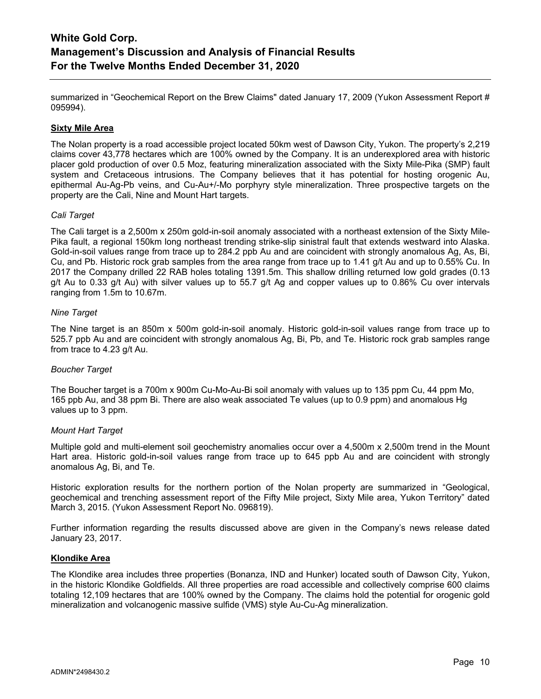summarized in "Geochemical Report on the Brew Claims" dated January 17, 2009 (Yukon Assessment Report # 095994).

### **Sixty Mile Area**

The Nolan property is a road accessible project located 50km west of Dawson City, Yukon. The property's 2,219 claims cover 43,778 hectares which are 100% owned by the Company. It is an underexplored area with historic placer gold production of over 0.5 Moz, featuring mineralization associated with the Sixty Mile-Pika (SMP) fault system and Cretaceous intrusions. The Company believes that it has potential for hosting orogenic Au, epithermal Au-Ag-Pb veins, and Cu-Au+/-Mo porphyry style mineralization. Three prospective targets on the property are the Cali, Nine and Mount Hart targets.

### *Cali Target*

The Cali target is a 2,500m x 250m gold-in-soil anomaly associated with a northeast extension of the Sixty Mile-Pika fault, a regional 150km long northeast trending strike-slip sinistral fault that extends westward into Alaska. Gold-in-soil values range from trace up to 284.2 ppb Au and are coincident with strongly anomalous Ag, As, Bi, Cu, and Pb. Historic rock grab samples from the area range from trace up to 1.41 g/t Au and up to 0.55% Cu. In 2017 the Company drilled 22 RAB holes totaling 1391.5m. This shallow drilling returned low gold grades (0.13 g/t Au to 0.33 g/t Au) with silver values up to 55.7 g/t Ag and copper values up to 0.86% Cu over intervals ranging from 1.5m to 10.67m.

### *Nine Target*

The Nine target is an 850m x 500m gold-in-soil anomaly. Historic gold-in-soil values range from trace up to 525.7 ppb Au and are coincident with strongly anomalous Ag, Bi, Pb, and Te. Historic rock grab samples range from trace to 4.23 g/t Au.

### *Boucher Target*

The Boucher target is a 700m x 900m Cu-Mo-Au-Bi soil anomaly with values up to 135 ppm Cu, 44 ppm Mo, 165 ppb Au, and 38 ppm Bi. There are also weak associated Te values (up to 0.9 ppm) and anomalous Hg values up to 3 ppm.

### *Mount Hart Target*

Multiple gold and multi-element soil geochemistry anomalies occur over a 4,500m x 2,500m trend in the Mount Hart area. Historic gold-in-soil values range from trace up to 645 ppb Au and are coincident with strongly anomalous Ag, Bi, and Te.

Historic exploration results for the northern portion of the Nolan property are summarized in "Geological, geochemical and trenching assessment report of the Fifty Mile project, Sixty Mile area, Yukon Territory" dated March 3, 2015. (Yukon Assessment Report No. 096819).

Further information regarding the results discussed above are given in the Company's news release dated January 23, 2017.

### **Klondike Area**

The Klondike area includes three properties (Bonanza, IND and Hunker) located south of Dawson City, Yukon, in the historic Klondike Goldfields. All three properties are road accessible and collectively comprise 600 claims totaling 12,109 hectares that are 100% owned by the Company. The claims hold the potential for orogenic gold mineralization and volcanogenic massive sulfide (VMS) style Au-Cu-Ag mineralization.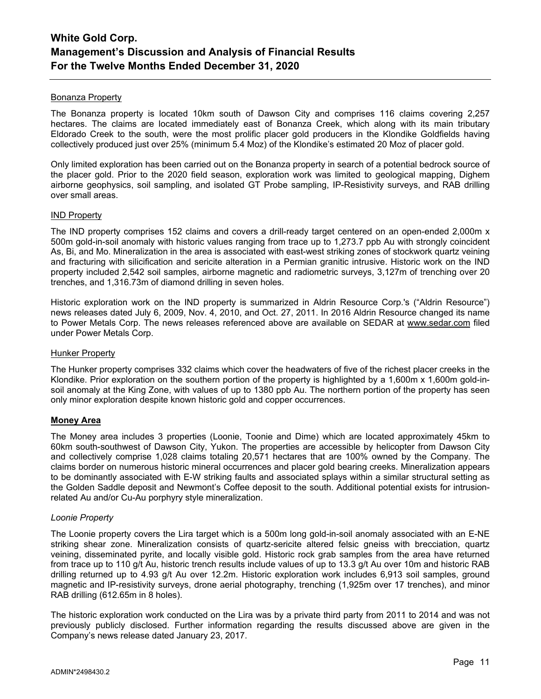### Bonanza Property

The Bonanza property is located 10km south of Dawson City and comprises 116 claims covering 2,257 hectares. The claims are located immediately east of Bonanza Creek, which along with its main tributary Eldorado Creek to the south, were the most prolific placer gold producers in the Klondike Goldfields having collectively produced just over 25% (minimum 5.4 Moz) of the Klondike's estimated 20 Moz of placer gold.

Only limited exploration has been carried out on the Bonanza property in search of a potential bedrock source of the placer gold. Prior to the 2020 field season, exploration work was limited to geological mapping, Dighem airborne geophysics, soil sampling, and isolated GT Probe sampling, IP-Resistivity surveys, and RAB drilling over small areas.

### IND Property

The IND property comprises 152 claims and covers a drill-ready target centered on an open-ended 2,000m x 500m gold-in-soil anomaly with historic values ranging from trace up to 1,273.7 ppb Au with strongly coincident As, Bi, and Mo. Mineralization in the area is associated with east-west striking zones of stockwork quartz veining and fracturing with silicification and sericite alteration in a Permian granitic intrusive. Historic work on the IND property included 2,542 soil samples, airborne magnetic and radiometric surveys, 3,127m of trenching over 20 trenches, and 1,316.73m of diamond drilling in seven holes.

Historic exploration work on the IND property is summarized in Aldrin Resource Corp.'s ("Aldrin Resource") news releases dated July 6, 2009, Nov. 4, 2010, and Oct. 27, 2011. In 2016 Aldrin Resource changed its name to Power Metals Corp. The news releases referenced above are available on SEDAR at [www.sedar.com](http://www.sedar.com/) filed under Power Metals Corp.

### Hunker Property

The Hunker property comprises 332 claims which cover the headwaters of five of the richest placer creeks in the Klondike. Prior exploration on the southern portion of the property is highlighted by a 1,600m x 1,600m gold-insoil anomaly at the King Zone, with values of up to 1380 ppb Au. The northern portion of the property has seen only minor exploration despite known historic gold and copper occurrences.

### **Money Area**

The Money area includes 3 properties (Loonie, Toonie and Dime) which are located approximately 45km to 60km south-southwest of Dawson City, Yukon. The properties are accessible by helicopter from Dawson City and collectively comprise 1,028 claims totaling 20,571 hectares that are 100% owned by the Company. The claims border on numerous historic mineral occurrences and placer gold bearing creeks. Mineralization appears to be dominantly associated with E-W striking faults and associated splays within a similar structural setting as the Golden Saddle deposit and Newmont's Coffee deposit to the south. Additional potential exists for intrusionrelated Au and/or Cu-Au porphyry style mineralization.

### *Loonie Property*

The Loonie property covers the Lira target which is a 500m long gold-in-soil anomaly associated with an E-NE striking shear zone. Mineralization consists of quartz-sericite altered felsic gneiss with brecciation, quartz veining, disseminated pyrite, and locally visible gold. Historic rock grab samples from the area have returned from trace up to 110 g/t Au, historic trench results include values of up to 13.3 g/t Au over 10m and historic RAB drilling returned up to 4.93 g/t Au over 12.2m. Historic exploration work includes 6,913 soil samples, ground magnetic and IP-resistivity surveys, drone aerial photography, trenching (1,925m over 17 trenches), and minor RAB drilling (612.65m in 8 holes).

The historic exploration work conducted on the Lira was by a private third party from 2011 to 2014 and was not previously publicly disclosed. Further information regarding the results discussed above are given in the Company's news release dated January 23, 2017.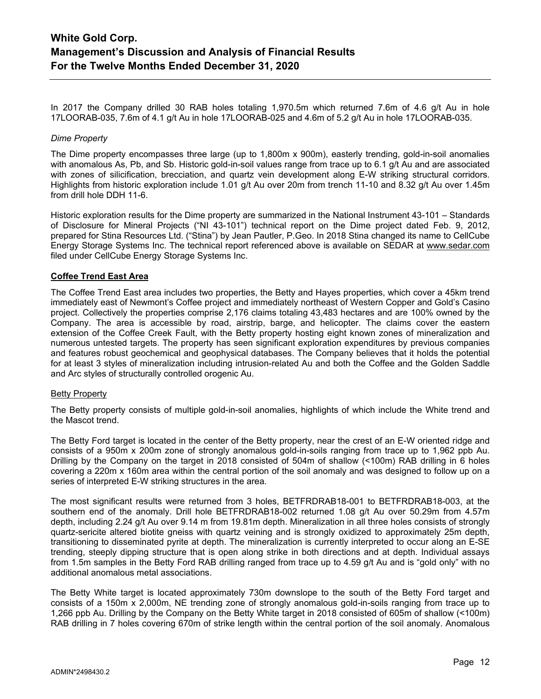In 2017 the Company drilled 30 RAB holes totaling 1,970.5m which returned 7.6m of 4.6 g/t Au in hole 17LOORAB-035, 7.6m of 4.1 g/t Au in hole 17LOORAB-025 and 4.6m of 5.2 g/t Au in hole 17LOORAB-035.

### *Dime Property*

The Dime property encompasses three large (up to 1,800m x 900m), easterly trending, gold-in-soil anomalies with anomalous As, Pb, and Sb. Historic gold-in-soil values range from trace up to 6.1 g/t Au and are associated with zones of silicification, brecciation, and quartz vein development along E-W striking structural corridors. Highlights from historic exploration include 1.01 g/t Au over 20m from trench 11-10 and 8.32 g/t Au over 1.45m from drill hole DDH 11-6.

Historic exploration results for the Dime property are summarized in the National Instrument 43-101 – Standards of Disclosure for Mineral Projects ("NI 43-101") technical report on the Dime project dated Feb. 9, 2012, prepared for Stina Resources Ltd. ("Stina") by Jean Pautler, P.Geo. In 2018 Stina changed its name to CellCube Energy Storage Systems Inc. The technical report referenced above is available on SEDAR at [www.sedar.com](http://www.sedar.com/) filed under CellCube Energy Storage Systems Inc.

# **Coffee Trend East Area**

The Coffee Trend East area includes two properties, the Betty and Hayes properties, which cover a 45km trend immediately east of Newmont's Coffee project and immediately northeast of Western Copper and Gold's Casino project. Collectively the properties comprise 2,176 claims totaling 43,483 hectares and are 100% owned by the Company. The area is accessible by road, airstrip, barge, and helicopter. The claims cover the eastern extension of the Coffee Creek Fault, with the Betty property hosting eight known zones of mineralization and numerous untested targets. The property has seen significant exploration expenditures by previous companies and features robust geochemical and geophysical databases. The Company believes that it holds the potential for at least 3 styles of mineralization including intrusion-related Au and both the Coffee and the Golden Saddle and Arc styles of structurally controlled orogenic Au.

### Betty Property

The Betty property consists of multiple gold-in-soil anomalies, highlights of which include the White trend and the Mascot trend.

The Betty Ford target is located in the center of the Betty property, near the crest of an E-W oriented ridge and consists of a 950m x 200m zone of strongly anomalous gold-in-soils ranging from trace up to 1,962 ppb Au. Drilling by the Company on the target in 2018 consisted of 504m of shallow (<100m) RAB drilling in 6 holes covering a 220m x 160m area within the central portion of the soil anomaly and was designed to follow up on a series of interpreted E-W striking structures in the area.

The most significant results were returned from 3 holes, BETFRDRAB18-001 to BETFRDRAB18-003, at the southern end of the anomaly. Drill hole BETFRDRAB18-002 returned 1.08 g/t Au over 50.29m from 4.57m depth, including 2.24 g/t Au over 9.14 m from 19.81m depth. Mineralization in all three holes consists of strongly quartz-sericite altered biotite gneiss with quartz veining and is strongly oxidized to approximately 25m depth, transitioning to disseminated pyrite at depth. The mineralization is currently interpreted to occur along an E-SE trending, steeply dipping structure that is open along strike in both directions and at depth. Individual assays from 1.5m samples in the Betty Ford RAB drilling ranged from trace up to 4.59 g/t Au and is "gold only" with no additional anomalous metal associations.

The Betty White target is located approximately 730m downslope to the south of the Betty Ford target and consists of a 150m x 2,000m, NE trending zone of strongly anomalous gold-in-soils ranging from trace up to 1,266 ppb Au. Drilling by the Company on the Betty White target in 2018 consisted of 605m of shallow (<100m) RAB drilling in 7 holes covering 670m of strike length within the central portion of the soil anomaly. Anomalous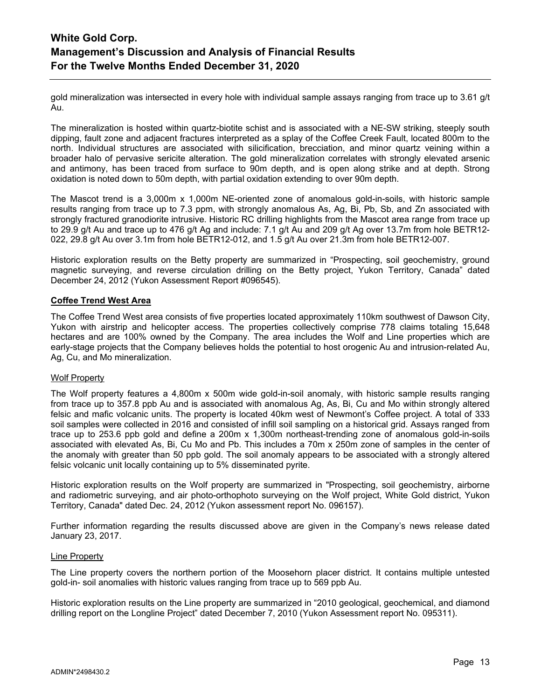gold mineralization was intersected in every hole with individual sample assays ranging from trace up to 3.61 g/t Au.

The mineralization is hosted within quartz-biotite schist and is associated with a NE-SW striking, steeply south dipping, fault zone and adjacent fractures interpreted as a splay of the Coffee Creek Fault, located 800m to the north. Individual structures are associated with silicification, brecciation, and minor quartz veining within a broader halo of pervasive sericite alteration. The gold mineralization correlates with strongly elevated arsenic and antimony, has been traced from surface to 90m depth, and is open along strike and at depth. Strong oxidation is noted down to 50m depth, with partial oxidation extending to over 90m depth.

The Mascot trend is a 3,000m x 1,000m NE-oriented zone of anomalous gold-in-soils, with historic sample results ranging from trace up to 7.3 ppm, with strongly anomalous As, Ag, Bi, Pb, Sb, and Zn associated with strongly fractured granodiorite intrusive. Historic RC drilling highlights from the Mascot area range from trace up to 29.9 g/t Au and trace up to 476 g/t Ag and include: 7.1 g/t Au and 209 g/t Ag over 13.7m from hole BETR12- 022, 29.8 g/t Au over 3.1m from hole BETR12-012, and 1.5 g/t Au over 21.3m from hole BETR12-007.

Historic exploration results on the Betty property are summarized in "Prospecting, soil geochemistry, ground magnetic surveying, and reverse circulation drilling on the Betty project, Yukon Territory, Canada" dated December 24, 2012 (Yukon Assessment Report #096545).

### **Coffee Trend West Area**

The Coffee Trend West area consists of five properties located approximately 110km southwest of Dawson City, Yukon with airstrip and helicopter access. The properties collectively comprise 778 claims totaling 15,648 hectares and are 100% owned by the Company. The area includes the Wolf and Line properties which are early-stage projects that the Company believes holds the potential to host orogenic Au and intrusion-related Au, Ag, Cu, and Mo mineralization.

### Wolf Property

The Wolf property features a 4,800m x 500m wide gold-in-soil anomaly, with historic sample results ranging from trace up to 357.8 ppb Au and is associated with anomalous Ag, As, Bi, Cu and Mo within strongly altered felsic and mafic volcanic units. The property is located 40km west of Newmont's Coffee project. A total of 333 soil samples were collected in 2016 and consisted of infill soil sampling on a historical grid. Assays ranged from trace up to 253.6 ppb gold and define a 200m x 1,300m northeast-trending zone of anomalous gold-in-soils associated with elevated As, Bi, Cu Mo and Pb. This includes a 70m x 250m zone of samples in the center of the anomaly with greater than 50 ppb gold. The soil anomaly appears to be associated with a strongly altered felsic volcanic unit locally containing up to 5% disseminated pyrite.

Historic exploration results on the Wolf property are summarized in "Prospecting, soil geochemistry, airborne and radiometric surveying, and air photo-orthophoto surveying on the Wolf project, White Gold district, Yukon Territory, Canada" dated Dec. 24, 2012 (Yukon assessment report No. 096157).

Further information regarding the results discussed above are given in the Company's news release dated January 23, 2017.

#### Line Property

The Line property covers the northern portion of the Moosehorn placer district. It contains multiple untested gold-in- soil anomalies with historic values ranging from trace up to 569 ppb Au.

Historic exploration results on the Line property are summarized in "2010 geological, geochemical, and diamond drilling report on the Longline Project" dated December 7, 2010 (Yukon Assessment report No. 095311).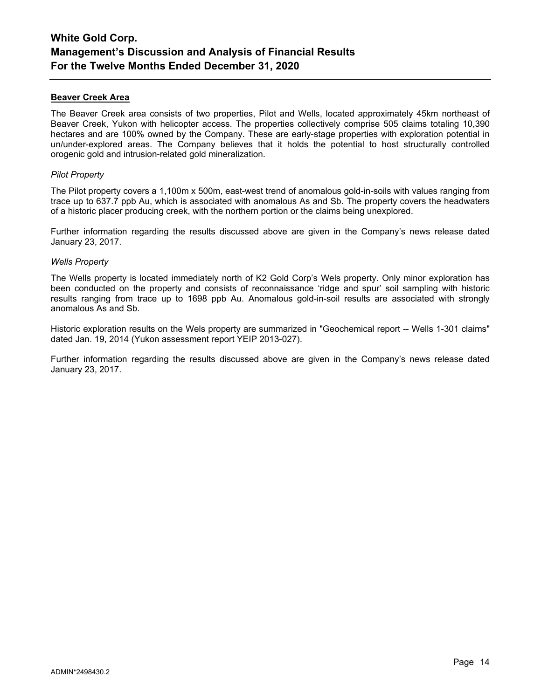### **Beaver Creek Area**

The Beaver Creek area consists of two properties, Pilot and Wells, located approximately 45km northeast of Beaver Creek, Yukon with helicopter access. The properties collectively comprise 505 claims totaling 10,390 hectares and are 100% owned by the Company. These are early-stage properties with exploration potential in un/under-explored areas. The Company believes that it holds the potential to host structurally controlled orogenic gold and intrusion-related gold mineralization.

### *Pilot Property*

The Pilot property covers a 1,100m x 500m, east-west trend of anomalous gold-in-soils with values ranging from trace up to 637.7 ppb Au, which is associated with anomalous As and Sb. The property covers the headwaters of a historic placer producing creek, with the northern portion or the claims being unexplored.

Further information regarding the results discussed above are given in the Company's news release dated January 23, 2017.

### *Wells Property*

The Wells property is located immediately north of K2 Gold Corp's Wels property. Only minor exploration has been conducted on the property and consists of reconnaissance 'ridge and spur' soil sampling with historic results ranging from trace up to 1698 ppb Au. Anomalous gold-in-soil results are associated with strongly anomalous As and Sb.

Historic exploration results on the Wels property are summarized in "Geochemical report -- Wells 1-301 claims" dated Jan. 19, 2014 (Yukon assessment report YEIP 2013-027).

Further information regarding the results discussed above are given in the Company's news release dated January 23, 2017.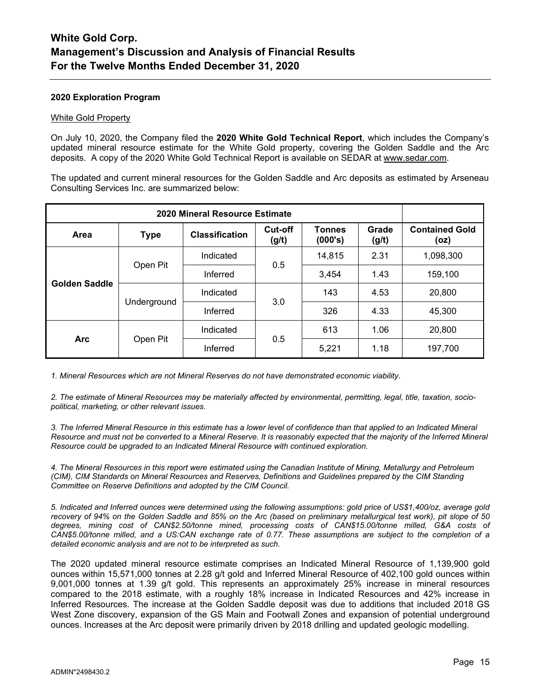### **2020 Exploration Program**

#### White Gold Property

On July 10, 2020, the Company filed the **2020 White Gold Technical Report**, which includes the Company's updated mineral resource estimate for the White Gold property, covering the Golden Saddle and the Arc deposits. A copy of the 2020 White Gold Technical Report is available on SEDAR at [www.sedar.com.](http://www.sedar.com/)

The updated and current mineral resources for the Golden Saddle and Arc deposits as estimated by Arseneau Consulting Services Inc. are summarized below:

| 2020 Mineral Resource Estimate |             |                       |                  |                          |                |                               |
|--------------------------------|-------------|-----------------------|------------------|--------------------------|----------------|-------------------------------|
| Area                           | <b>Type</b> | <b>Classification</b> | Cut-off<br>(g/t) | <b>Tonnes</b><br>(000's) | Grade<br>(g/t) | <b>Contained Gold</b><br>(oz) |
| Golden Saddle                  | Open Pit    | Indicated             | 0.5              | 14,815                   | 2.31           | 1,098,300                     |
|                                |             | Inferred              |                  | 3,454                    | 1.43           | 159,100                       |
|                                | Underground | Indicated             | 3.0              | 143                      | 4.53           | 20,800                        |
|                                |             | Inferred              |                  | 326                      | 4.33           | 45,300                        |
| <b>Arc</b>                     | Open Pit    | Indicated             | 0.5              | 613                      | 1.06           | 20,800                        |
|                                |             | Inferred              |                  | 5,221                    | 1.18           | 197,700                       |

*1. Mineral Resources which are not Mineral Reserves do not have demonstrated economic viability.*

*2. The estimate of Mineral Resources may be materially affected by environmental, permitting, legal, title, taxation, sociopolitical, marketing, or other relevant issues.*

*3. The Inferred Mineral Resource in this estimate has a lower level of confidence than that applied to an Indicated Mineral Resource and must not be converted to a Mineral Reserve. It is reasonably expected that the majority of the Inferred Mineral Resource could be upgraded to an Indicated Mineral Resource with continued exploration.*

*4. The Mineral Resources in this report were estimated using the Canadian Institute of Mining, Metallurgy and Petroleum (CIM), CIM Standards on Mineral Resources and Reserves, Definitions and Guidelines prepared by the CIM Standing Committee on Reserve Definitions and adopted by the CIM Council.*

*5. Indicated and Inferred ounces were determined using the following assumptions: gold price of US\$1,400/oz, average gold recovery of 94% on the Golden Saddle and 85% on the Arc (based on preliminary metallurgical test work), pit slope of 50 degrees, mining cost of CAN\$2.50/tonne mined, processing costs of CAN\$15.00/tonne milled, G&A costs of CAN\$5.00/tonne milled, and a US:CAN exchange rate of 0.77. These assumptions are subject to the completion of a detailed economic analysis and are not to be interpreted as such.*

The 2020 updated mineral resource estimate comprises an Indicated Mineral Resource of 1,139,900 gold ounces within 15,571,000 tonnes at 2.28 g/t gold and Inferred Mineral Resource of 402,100 gold ounces within 9,001,000 tonnes at 1.39 g/t gold. This represents an approximately 25% increase in mineral resources compared to the 2018 estimate, with a roughly 18% increase in Indicated Resources and 42% increase in Inferred Resources. The increase at the Golden Saddle deposit was due to additions that included 2018 GS West Zone discovery, expansion of the GS Main and Footwall Zones and expansion of potential underground ounces. Increases at the Arc deposit were primarily driven by 2018 drilling and updated geologic modelling.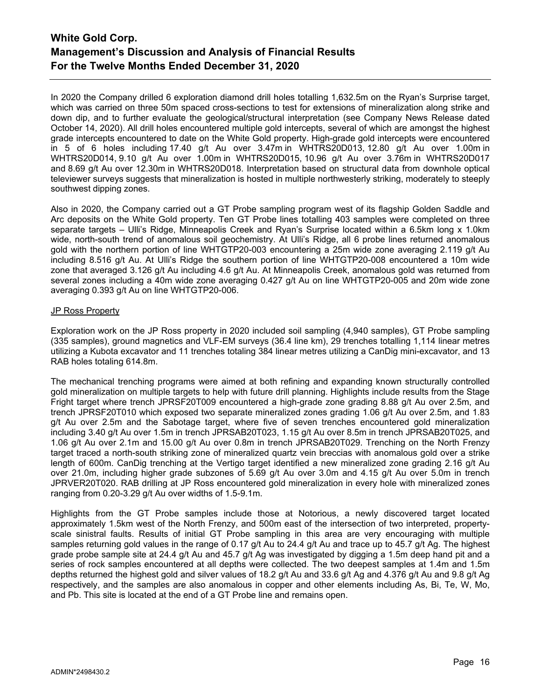In 2020 the Company drilled 6 exploration diamond drill holes totalling 1,632.5m on the Ryan's Surprise target, which was carried on three 50m spaced cross-sections to test for extensions of mineralization along strike and down dip, and to further evaluate the geological/structural interpretation (see Company News Release dated October 14, 2020). All drill holes encountered multiple gold intercepts, several of which are amongst the highest grade intercepts encountered to date on the White Gold property. High-grade gold intercepts were encountered in 5 of 6 holes including 17.40 g/t Au over 3.47m in WHTRS20D013, 12.80 g/t Au over 1.00m in WHTRS20D014, 9.10 g/t Au over 1.00m in WHTRS20D015, 10.96 g/t Au over 3.76m in WHTRS20D017 and 8.69 g/t Au over 12.30m in WHTRS20D018. Interpretation based on structural data from downhole optical televiewer surveys suggests that mineralization is hosted in multiple northwesterly striking, moderately to steeply southwest dipping zones.

Also in 2020, the Company carried out a GT Probe sampling program west of its flagship Golden Saddle and Arc deposits on the White Gold property. Ten GT Probe lines totalling 403 samples were completed on three separate targets – Ulli's Ridge, Minneapolis Creek and Ryan's Surprise located within a 6.5km long x 1.0km wide, north-south trend of anomalous soil geochemistry. At Ulli's Ridge, all 6 probe lines returned anomalous gold with the northern portion of line WHTGTP20-003 encountering a 25m wide zone averaging 2.119 g/t Au including 8.516 g/t Au. At Ulli's Ridge the southern portion of line WHTGTP20-008 encountered a 10m wide zone that averaged 3.126 g/t Au including 4.6 g/t Au. At Minneapolis Creek, anomalous gold was returned from several zones including a 40m wide zone averaging 0.427 g/t Au on line WHTGTP20-005 and 20m wide zone averaging 0.393 g/t Au on line WHTGTP20-006.

### JP Ross Property

Exploration work on the JP Ross property in 2020 included soil sampling (4,940 samples), GT Probe sampling (335 samples), ground magnetics and VLF-EM surveys (36.4 line km), 29 trenches totalling 1,114 linear metres utilizing a Kubota excavator and 11 trenches totaling 384 linear metres utilizing a CanDig mini-excavator, and 13 RAB holes totaling 614.8m.

The mechanical trenching programs were aimed at both refining and expanding known structurally controlled gold mineralization on multiple targets to help with future drill planning. Highlights include results from the Stage Fright target where trench JPRSF20T009 encountered a high-grade zone grading 8.88 g/t Au over 2.5m, and trench JPRSF20T010 which exposed two separate mineralized zones grading 1.06 g/t Au over 2.5m, and 1.83 g/t Au over 2.5m and the Sabotage target, where five of seven trenches encountered gold mineralization including 3.40 g/t Au over 1.5m in trench JPRSAB20T023, 1.15 g/t Au over 8.5m in trench JPRSAB20T025, and 1.06 g/t Au over 2.1m and 15.00 g/t Au over 0.8m in trench JPRSAB20T029. Trenching on the North Frenzy target traced a north-south striking zone of mineralized quartz vein breccias with anomalous gold over a strike length of 600m. CanDig trenching at the Vertigo target identified a new mineralized zone grading 2.16 g/t Au over 21.0m, including higher grade subzones of 5.69 g/t Au over 3.0m and 4.15 g/t Au over 5.0m in trench JPRVER20T020. RAB drilling at JP Ross encountered gold mineralization in every hole with mineralized zones ranging from 0.20-3.29 g/t Au over widths of 1.5-9.1m.

Highlights from the GT Probe samples include those at Notorious, a newly discovered target located approximately 1.5km west of the North Frenzy, and 500m east of the intersection of two interpreted, propertyscale sinistral faults. Results of initial GT Probe sampling in this area are very encouraging with multiple samples returning gold values in the range of 0.17 g/t Au to 24.4 g/t Au and trace up to 45.7 g/t Ag. The highest grade probe sample site at 24.4 g/t Au and 45.7 g/t Ag was investigated by digging a 1.5m deep hand pit and a series of rock samples encountered at all depths were collected. The two deepest samples at 1.4m and 1.5m depths returned the highest gold and silver values of 18.2 g/t Au and 33.6 g/t Ag and 4.376 g/t Au and 9.8 g/t Ag respectively, and the samples are also anomalous in copper and other elements including As, Bi, Te, W, Mo, and Pb. This site is located at the end of a GT Probe line and remains open.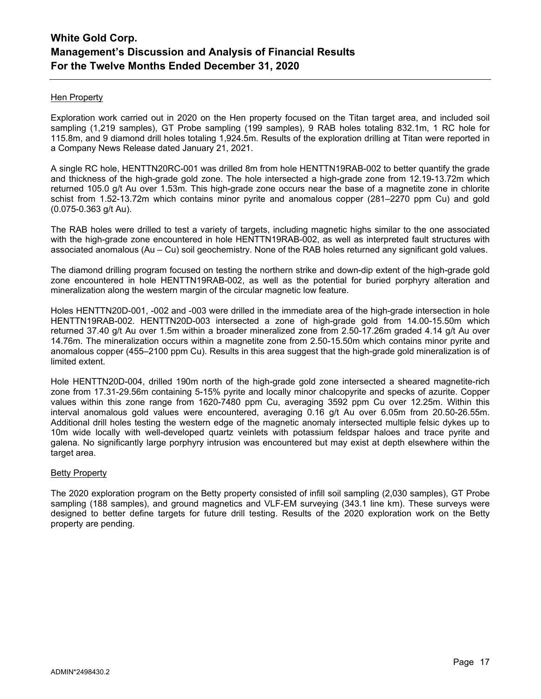### Hen Property

Exploration work carried out in 2020 on the Hen property focused on the Titan target area, and included soil sampling (1,219 samples), GT Probe sampling (199 samples), 9 RAB holes totaling 832.1m, 1 RC hole for 115.8m, and 9 diamond drill holes totaling 1,924.5m. Results of the exploration drilling at Titan were reported in a Company News Release dated January 21, 2021.

A single RC hole, HENTTN20RC-001 was drilled 8m from hole HENTTN19RAB-002 to better quantify the grade and thickness of the high-grade gold zone. The hole intersected a high-grade zone from 12.19-13.72m which returned 105.0 g/t Au over 1.53m. This high-grade zone occurs near the base of a magnetite zone in chlorite schist from 1.52-13.72m which contains minor pyrite and anomalous copper (281–2270 ppm Cu) and gold (0.075-0.363 g/t Au).

The RAB holes were drilled to test a variety of targets, including magnetic highs similar to the one associated with the high-grade zone encountered in hole HENTTN19RAB-002, as well as interpreted fault structures with associated anomalous (Au – Cu) soil geochemistry. None of the RAB holes returned any significant gold values.

The diamond drilling program focused on testing the northern strike and down-dip extent of the high-grade gold zone encountered in hole HENTTN19RAB-002, as well as the potential for buried porphyry alteration and mineralization along the western margin of the circular magnetic low feature.

Holes HENTTN20D-001, -002 and -003 were drilled in the immediate area of the high-grade intersection in hole HENTTN19RAB-002. HENTTN20D-003 intersected a zone of high-grade gold from 14.00-15.50m which returned 37.40 g/t Au over 1.5m within a broader mineralized zone from 2.50-17.26m graded 4.14 g/t Au over 14.76m. The mineralization occurs within a magnetite zone from 2.50-15.50m which contains minor pyrite and anomalous copper (455–2100 ppm Cu). Results in this area suggest that the high-grade gold mineralization is of limited extent.

Hole HENTTN20D-004, drilled 190m north of the high-grade gold zone intersected a sheared magnetite-rich zone from 17.31-29.56m containing 5-15% pyrite and locally minor chalcopyrite and specks of azurite. Copper values within this zone range from 1620-7480 ppm Cu, averaging 3592 ppm Cu over 12.25m. Within this interval anomalous gold values were encountered, averaging 0.16 g/t Au over 6.05m from 20.50-26.55m. Additional drill holes testing the western edge of the magnetic anomaly intersected multiple felsic dykes up to 10m wide locally with well-developed quartz veinlets with potassium feldspar haloes and trace pyrite and galena. No significantly large porphyry intrusion was encountered but may exist at depth elsewhere within the target area.

### Betty Property

The 2020 exploration program on the Betty property consisted of infill soil sampling (2,030 samples), GT Probe sampling (188 samples), and ground magnetics and VLF-EM surveying (343.1 line km). These surveys were designed to better define targets for future drill testing. Results of the 2020 exploration work on the Betty property are pending.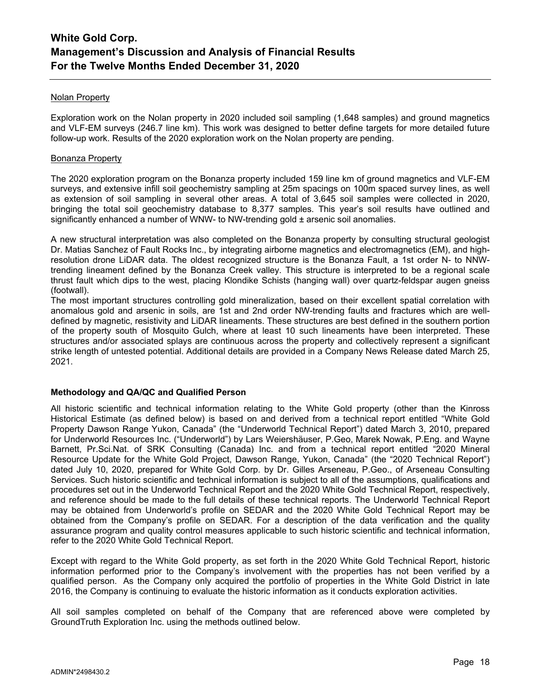### Nolan Property

Exploration work on the Nolan property in 2020 included soil sampling (1,648 samples) and ground magnetics and VLF-EM surveys (246.7 line km). This work was designed to better define targets for more detailed future follow-up work. Results of the 2020 exploration work on the Nolan property are pending.

### Bonanza Property

The 2020 exploration program on the Bonanza property included 159 line km of ground magnetics and VLF-EM surveys, and extensive infill soil geochemistry sampling at 25m spacings on 100m spaced survey lines, as well as extension of soil sampling in several other areas. A total of 3,645 soil samples were collected in 2020, bringing the total soil geochemistry database to 8,377 samples. This year's soil results have outlined and significantly enhanced a number of WNW- to NW-trending gold  $\pm$  arsenic soil anomalies.

A new structural interpretation was also completed on the Bonanza property by consulting structural geologist Dr. Matias Sanchez of Fault Rocks Inc., by integrating airborne magnetics and electromagnetics (EM), and highresolution drone LiDAR data. The oldest recognized structure is the Bonanza Fault, a 1st order N- to NNWtrending lineament defined by the Bonanza Creek valley. This structure is interpreted to be a regional scale thrust fault which dips to the west, placing Klondike Schists (hanging wall) over quartz-feldspar augen gneiss (footwall).

The most important structures controlling gold mineralization, based on their excellent spatial correlation with anomalous gold and arsenic in soils, are 1st and 2nd order NW-trending faults and fractures which are welldefined by magnetic, resistivity and LiDAR lineaments. These structures are best defined in the southern portion of the property south of Mosquito Gulch, where at least 10 such lineaments have been interpreted. These structures and/or associated splays are continuous across the property and collectively represent a significant strike length of untested potential. Additional details are provided in a Company News Release dated March 25, 2021.

### **Methodology and QA/QC and Qualified Person**

All historic scientific and technical information relating to the White Gold property (other than the Kinross Historical Estimate (as defined below) is based on and derived from a technical report entitled "White Gold Property Dawson Range Yukon, Canada" (the "Underworld Technical Report") dated March 3, 2010, prepared for Underworld Resources Inc. ("Underworld") by Lars Weiershäuser, P.Geo, Marek Nowak, P.Eng. and Wayne Barnett, Pr.Sci.Nat. of SRK Consulting (Canada) Inc. and from a technical report entitled "2020 Mineral Resource Update for the White Gold Project, Dawson Range, Yukon, Canada" (the "2020 Technical Report") dated July 10, 2020, prepared for White Gold Corp. by Dr. Gilles Arseneau, P.Geo., of Arseneau Consulting Services. Such historic scientific and technical information is subject to all of the assumptions, qualifications and procedures set out in the Underworld Technical Report and the 2020 White Gold Technical Report, respectively, and reference should be made to the full details of these technical reports. The Underworld Technical Report may be obtained from Underworld's profile on SEDAR and the 2020 White Gold Technical Report may be obtained from the Company's profile on SEDAR. For a description of the data verification and the quality assurance program and quality control measures applicable to such historic scientific and technical information, refer to the 2020 White Gold Technical Report.

Except with regard to the White Gold property, as set forth in the 2020 White Gold Technical Report, historic information performed prior to the Company's involvement with the properties has not been verified by a qualified person. As the Company only acquired the portfolio of properties in the White Gold District in late 2016, the Company is continuing to evaluate the historic information as it conducts exploration activities.

All soil samples completed on behalf of the Company that are referenced above were completed by GroundTruth Exploration Inc. using the methods outlined below.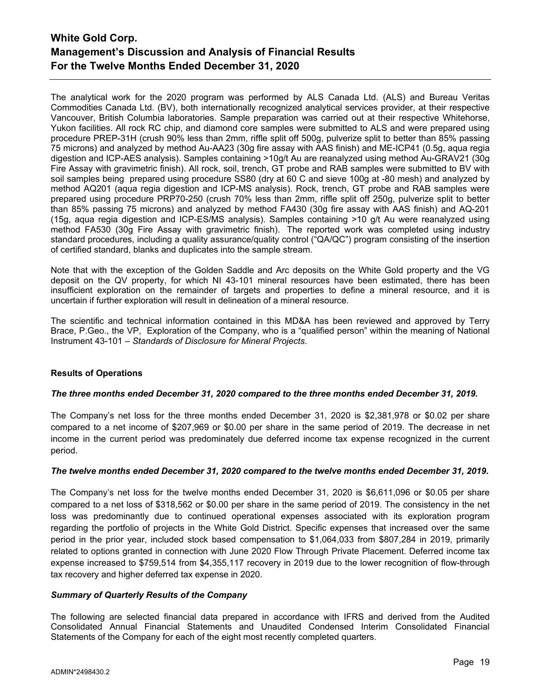The analytical work for the 2020 program was performed by ALS Canada Ltd. (ALS) and Bureau Veritas Commodities Canada Ltd. (BV), both internationally recognized analytical services provider, at their respective Vancouver, British Columbia laboratories. Sample preparation was carried out at their respective Whitehorse, Yukon facilities. All rock RC chip, and diamond core samples were submitted to ALS and were prepared using procedure PREP-31H (crush 90% less than 2mm, riffle split off 500g, pulverize split to better than 85% passing 75 microns) and analyzed by method Au-AA23 (30g fire assay with AAS finish) and ME-ICP41 (0.5g, aqua regia digestion and ICP-AES analysis). Samples containing >10g/t Au are reanalyzed using method Au-GRAV21 (30g Fire Assay with gravimetric finish). All rock, soil, trench, GT probe and RAB samples were submitted to BV with soil samples being prepared using procedure SS80 (dry at 60 C and sieve 100g at -80 mesh) and analyzed by method AQ201 (aqua regia digestion and ICP-MS analysis). Rock, trench, GT probe and RAB samples were prepared using procedure PRP70-250 (crush 70% less than 2mm, riffle split off 250g, pulverize split to better than 85% passing 75 microns) and analyzed by method FA430 (30g fire assay with AAS finish) and AQ-201 (15g, aqua regia digestion and ICP-ES/MS analysis). Samples containing >10 g/t Au were reanalyzed using method FA530 (30g Fire Assay with gravimetric finish). The reported work was completed using industry standard procedures, including a quality assurance/quality control ("QA/QC") program consisting of the insertion of certified standard, blanks and duplicates into the sample stream.

Note that with the exception of the Golden Saddle and Arc deposits on the White Gold property and the VG deposit on the QV property, for which NI 43-101 mineral resources have been estimated, there has been insufficient exploration on the remainder of targets and properties to define a mineral resource, and it is uncertain if further exploration will result in delineation of a mineral resource.

The scientific and technical information contained in this MD&A has been reviewed and approved by Terry Brace, P.Geo., the VP, Exploration of the Company, who is a "qualified person" within the meaning of National Instrument 43-101 – *Standards of Disclosure for Mineral Projects*.

### **Results of Operations**

### *The three months ended December 31, 2020 compared to the three months ended December 31, 2019.*

The Company's net loss for the three months ended December 31, 2020 is \$2,381,978 or \$0.02 per share compared to a net income of \$207,969 or \$0.00 per share in the same period of 2019. The decrease in net income in the current period was predominately due deferred income tax expense recognized in the current period.

### *The twelve months ended December 31, 2020 compared to the twelve months ended December 31, 2019.*

The Company's net loss for the twelve months ended December 31, 2020 is \$6,611,096 or \$0.05 per share compared to a net loss of \$318,562 or \$0.00 per share in the same period of 2019. The consistency in the net loss was predominantly due to continued operational expenses associated with its exploration program regarding the portfolio of projects in the White Gold District. Specific expenses that increased over the same period in the prior year, included stock based compensation to \$1,064,033 from \$807,284 in 2019, primarily related to options granted in connection with June 2020 Flow Through Private Placement. Deferred income tax expense increased to \$759,514 from \$4,355,117 recovery in 2019 due to the lower recognition of flow-through tax recovery and higher deferred tax expense in 2020.

### *Summary of Quarterly Results of the Company*

The following are selected financial data prepared in accordance with IFRS and derived from the Audited Consolidated Annual Financial Statements and Unaudited Condensed Interim Consolidated Financial Statements of the Company for each of the eight most recently completed quarters.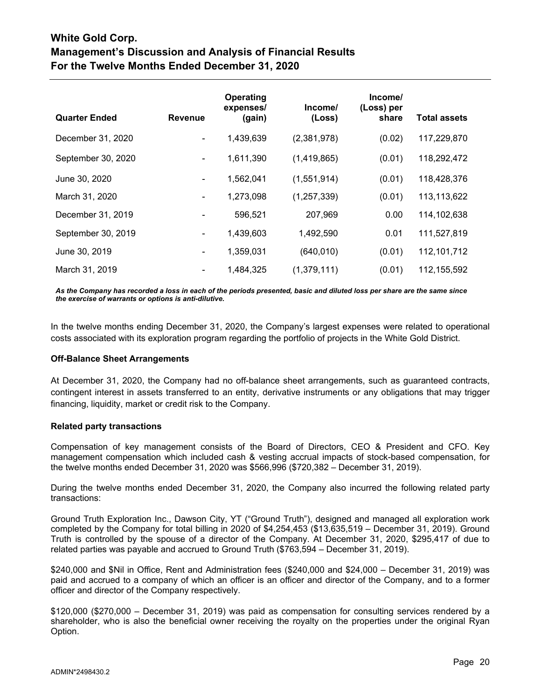| <b>Quarter Ended</b> | <b>Revenue</b> | Operating<br>expenses/<br>(gain) | Income/<br>(Loss) | Income/<br>(Loss) per<br>share | <b>Total assets</b> |
|----------------------|----------------|----------------------------------|-------------------|--------------------------------|---------------------|
| December 31, 2020    | $\blacksquare$ | 1,439,639                        | (2,381,978)       | (0.02)                         | 117,229,870         |
| September 30, 2020   | $\blacksquare$ | 1,611,390                        | (1,419,865)       | (0.01)                         | 118,292,472         |
| June 30, 2020        | $\blacksquare$ | 1,562,041                        | (1,551,914)       | (0.01)                         | 118,428,376         |
| March 31, 2020       |                | 1,273,098                        | (1, 257, 339)     | (0.01)                         | 113,113,622         |
| December 31, 2019    |                | 596,521                          | 207,969           | 0.00                           | 114,102,638         |
| September 30, 2019   | $\blacksquare$ | 1,439,603                        | 1,492,590         | 0.01                           | 111,527,819         |
| June 30, 2019        |                | 1,359,031                        | (640, 010)        | (0.01)                         | 112,101,712         |
| March 31, 2019       |                | 1,484,325                        | (1,379,111)       | (0.01)                         | 112,155,592         |

*As the Company has recorded a loss in each of the periods presented, basic and diluted loss per share are the same since the exercise of warrants or options is anti-dilutive.*

In the twelve months ending December 31, 2020, the Company's largest expenses were related to operational costs associated with its exploration program regarding the portfolio of projects in the White Gold District.

### **Off-Balance Sheet Arrangements**

At December 31, 2020, the Company had no off-balance sheet arrangements, such as guaranteed contracts, contingent interest in assets transferred to an entity, derivative instruments or any obligations that may trigger financing, liquidity, market or credit risk to the Company.

### **Related party transactions**

Compensation of key management consists of the Board of Directors, CEO & President and CFO. Key management compensation which included cash & vesting accrual impacts of stock-based compensation, for the twelve months ended December 31, 2020 was \$566,996 (\$720,382 – December 31, 2019).

During the twelve months ended December 31, 2020, the Company also incurred the following related party transactions:

Ground Truth Exploration Inc., Dawson City, YT ("Ground Truth"), designed and managed all exploration work completed by the Company for total billing in 2020 of \$4,254,453 (\$13,635,519 – December 31, 2019). Ground Truth is controlled by the spouse of a director of the Company. At December 31, 2020, \$295,417 of due to related parties was payable and accrued to Ground Truth (\$763,594 – December 31, 2019).

\$240,000 and \$Nil in Office, Rent and Administration fees (\$240,000 and \$24,000 – December 31, 2019) was paid and accrued to a company of which an officer is an officer and director of the Company, and to a former officer and director of the Company respectively.

\$120,000 (\$270,000 – December 31, 2019) was paid as compensation for consulting services rendered by a shareholder, who is also the beneficial owner receiving the royalty on the properties under the original Ryan Option.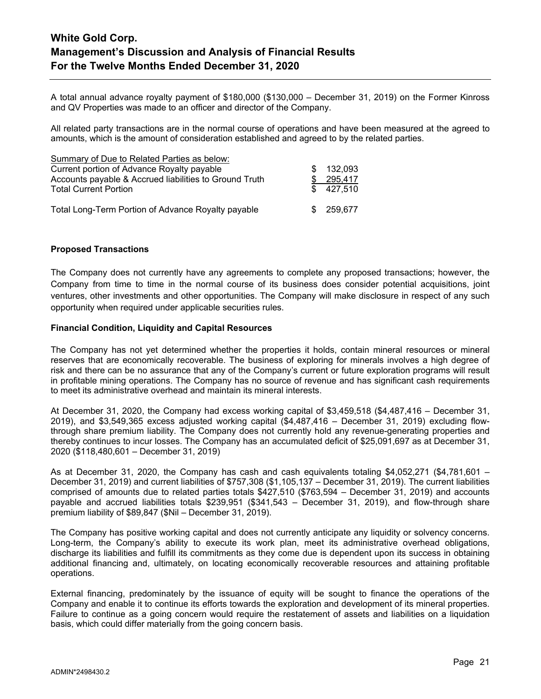A total annual advance royalty payment of \$180,000 (\$130,000 – December 31, 2019) on the Former Kinross and QV Properties was made to an officer and director of the Company.

All related party transactions are in the normal course of operations and have been measured at the agreed to amounts, which is the amount of consideration established and agreed to by the related parties.

| Summary of Due to Related Parties as below:            |     |           |
|--------------------------------------------------------|-----|-----------|
| Current portion of Advance Royalty payable             | \$. | 132,093   |
| Accounts payable & Accrued liabilities to Ground Truth |     | 295,417   |
| <b>Total Current Portion</b>                           |     | \$427.510 |
|                                                        |     |           |
| Total Long-Term Portion of Advance Royalty payable     |     | 259,677   |

### **Proposed Transactions**

The Company does not currently have any agreements to complete any proposed transactions; however, the Company from time to time in the normal course of its business does consider potential acquisitions, joint ventures, other investments and other opportunities. The Company will make disclosure in respect of any such opportunity when required under applicable securities rules.

### **Financial Condition, Liquidity and Capital Resources**

The Company has not yet determined whether the properties it holds, contain mineral resources or mineral reserves that are economically recoverable. The business of exploring for minerals involves a high degree of risk and there can be no assurance that any of the Company's current or future exploration programs will result in profitable mining operations. The Company has no source of revenue and has significant cash requirements to meet its administrative overhead and maintain its mineral interests.

At December 31, 2020, the Company had excess working capital of \$3,459,518 (\$4,487,416 – December 31, 2019), and \$3,549,365 excess adjusted working capital (\$4,487,416 – December 31, 2019) excluding flowthrough share premium liability. The Company does not currently hold any revenue-generating properties and thereby continues to incur losses. The Company has an accumulated deficit of \$25,091,697 as at December 31, 2020 (\$118,480,601 – December 31, 2019)

As at December 31, 2020, the Company has cash and cash equivalents totaling \$4,052,271 (\$4,781,601 – December 31, 2019) and current liabilities of \$757,308 (\$1,105,137 – December 31, 2019). The current liabilities comprised of amounts due to related parties totals \$427,510 (\$763,594 – December 31, 2019) and accounts payable and accrued liabilities totals \$239,951 (\$341,543 – December 31, 2019), and flow-through share premium liability of \$89,847 (\$Nil – December 31, 2019).

The Company has positive working capital and does not currently anticipate any liquidity or solvency concerns. Long-term, the Company's ability to execute its work plan, meet its administrative overhead obligations, discharge its liabilities and fulfill its commitments as they come due is dependent upon its success in obtaining additional financing and, ultimately, on locating economically recoverable resources and attaining profitable operations.

External financing, predominately by the issuance of equity will be sought to finance the operations of the Company and enable it to continue its efforts towards the exploration and development of its mineral properties. Failure to continue as a going concern would require the restatement of assets and liabilities on a liquidation basis, which could differ materially from the going concern basis.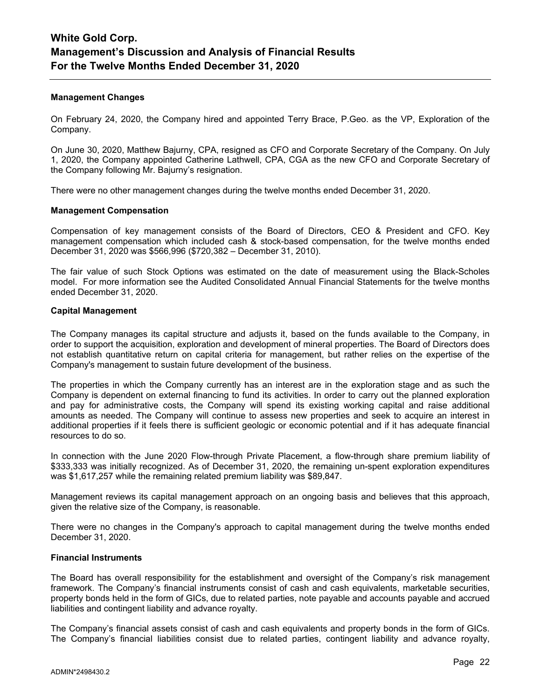### **Management Changes**

On February 24, 2020, the Company hired and appointed Terry Brace, P.Geo. as the VP, Exploration of the Company.

On June 30, 2020, Matthew Bajurny, CPA, resigned as CFO and Corporate Secretary of the Company. On July 1, 2020, the Company appointed Catherine Lathwell, CPA, CGA as the new CFO and Corporate Secretary of the Company following Mr. Bajurny's resignation.

There were no other management changes during the twelve months ended December 31, 2020.

### **Management Compensation**

Compensation of key management consists of the Board of Directors, CEO & President and CFO. Key management compensation which included cash & stock-based compensation, for the twelve months ended December 31, 2020 was \$566,996 (\$720,382 – December 31, 2010).

The fair value of such Stock Options was estimated on the date of measurement using the Black-Scholes model. For more information see the Audited Consolidated Annual Financial Statements for the twelve months ended December 31, 2020.

### **Capital Management**

The Company manages its capital structure and adjusts it, based on the funds available to the Company, in order to support the acquisition, exploration and development of mineral properties. The Board of Directors does not establish quantitative return on capital criteria for management, but rather relies on the expertise of the Company's management to sustain future development of the business.

The properties in which the Company currently has an interest are in the exploration stage and as such the Company is dependent on external financing to fund its activities. In order to carry out the planned exploration and pay for administrative costs, the Company will spend its existing working capital and raise additional amounts as needed. The Company will continue to assess new properties and seek to acquire an interest in additional properties if it feels there is sufficient geologic or economic potential and if it has adequate financial resources to do so.

In connection with the June 2020 Flow-through Private Placement, a flow-through share premium liability of \$333,333 was initially recognized. As of December 31, 2020, the remaining un-spent exploration expenditures was \$1,617,257 while the remaining related premium liability was \$89,847.

Management reviews its capital management approach on an ongoing basis and believes that this approach, given the relative size of the Company, is reasonable.

There were no changes in the Company's approach to capital management during the twelve months ended December 31, 2020.

#### **Financial Instruments**

The Board has overall responsibility for the establishment and oversight of the Company's risk management framework. The Company's financial instruments consist of cash and cash equivalents, marketable securities, property bonds held in the form of GICs, due to related parties, note payable and accounts payable and accrued liabilities and contingent liability and advance royalty.

The Company's financial assets consist of cash and cash equivalents and property bonds in the form of GICs. The Company's financial liabilities consist due to related parties, contingent liability and advance royalty,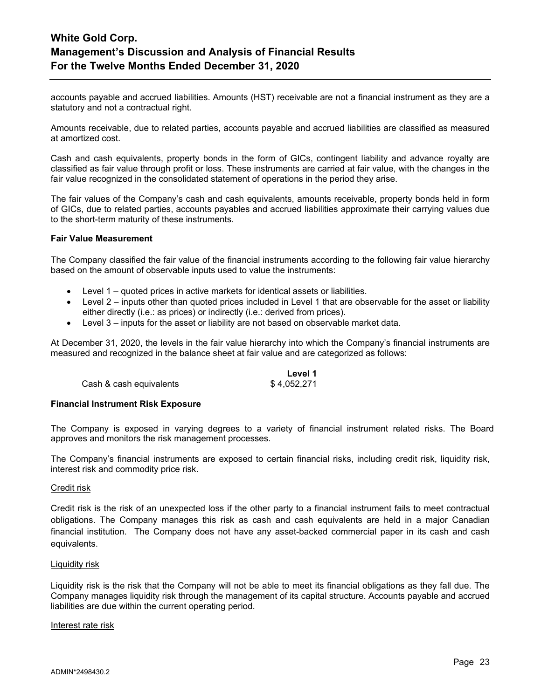accounts payable and accrued liabilities. Amounts (HST) receivable are not a financial instrument as they are a statutory and not a contractual right.

Amounts receivable, due to related parties, accounts payable and accrued liabilities are classified as measured at amortized cost.

Cash and cash equivalents, property bonds in the form of GICs, contingent liability and advance royalty are classified as fair value through profit or loss. These instruments are carried at fair value, with the changes in the fair value recognized in the consolidated statement of operations in the period they arise.

The fair values of the Company's cash and cash equivalents, amounts receivable, property bonds held in form of GICs, due to related parties, accounts payables and accrued liabilities approximate their carrying values due to the short-term maturity of these instruments.

### **Fair Value Measurement**

The Company classified the fair value of the financial instruments according to the following fair value hierarchy based on the amount of observable inputs used to value the instruments:

- Level 1 quoted prices in active markets for identical assets or liabilities.
- Level 2 inputs other than quoted prices included in Level 1 that are observable for the asset or liability either directly (i.e.: as prices) or indirectly (i.e.: derived from prices).
- Level 3 inputs for the asset or liability are not based on observable market data.

At December 31, 2020, the levels in the fair value hierarchy into which the Company's financial instruments are measured and recognized in the balance sheet at fair value and are categorized as follows:

|                         | Level 1     |
|-------------------------|-------------|
| Cash & cash equivalents | \$4,052,271 |

### **Financial Instrument Risk Exposure**

The Company is exposed in varying degrees to a variety of financial instrument related risks. The Board approves and monitors the risk management processes.

The Company's financial instruments are exposed to certain financial risks, including credit risk, liquidity risk, interest risk and commodity price risk.

#### Credit risk

Credit risk is the risk of an unexpected loss if the other party to a financial instrument fails to meet contractual obligations. The Company manages this risk as cash and cash equivalents are held in a major Canadian financial institution. The Company does not have any asset-backed commercial paper in its cash and cash equivalents.

#### Liquidity risk

Liquidity risk is the risk that the Company will not be able to meet its financial obligations as they fall due. The Company manages liquidity risk through the management of its capital structure. Accounts payable and accrued liabilities are due within the current operating period.

### Interest rate risk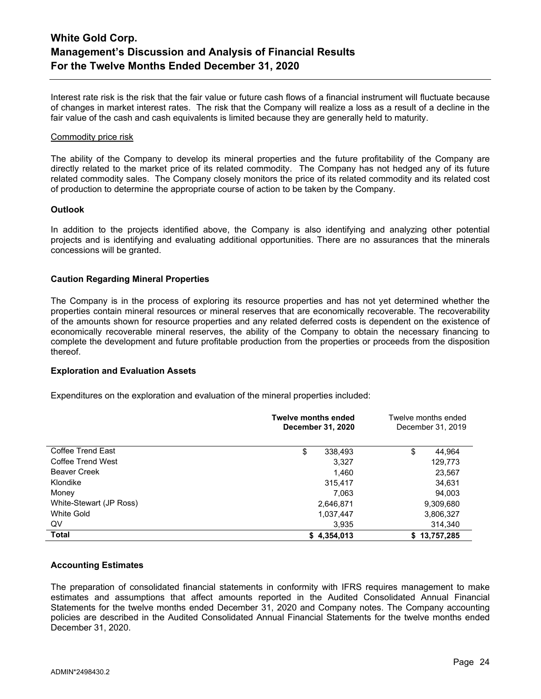Interest rate risk is the risk that the fair value or future cash flows of a financial instrument will fluctuate because of changes in market interest rates. The risk that the Company will realize a loss as a result of a decline in the fair value of the cash and cash equivalents is limited because they are generally held to maturity.

### Commodity price risk

The ability of the Company to develop its mineral properties and the future profitability of the Company are directly related to the market price of its related commodity. The Company has not hedged any of its future related commodity sales. The Company closely monitors the price of its related commodity and its related cost of production to determine the appropriate course of action to be taken by the Company.

### **Outlook**

In addition to the projects identified above, the Company is also identifying and analyzing other potential projects and is identifying and evaluating additional opportunities. There are no assurances that the minerals concessions will be granted.

### **Caution Regarding Mineral Properties**

The Company is in the process of exploring its resource properties and has not yet determined whether the properties contain mineral resources or mineral reserves that are economically recoverable. The recoverability of the amounts shown for resource properties and any related deferred costs is dependent on the existence of economically recoverable mineral reserves, the ability of the Company to obtain the necessary financing to complete the development and future profitable production from the properties or proceeds from the disposition thereof.

### **Exploration and Evaluation Assets**

Expenditures on the exploration and evaluation of the mineral properties included:

|                         | <b>Twelve months ended</b><br>December 31, 2020 | Twelve months ended<br>December 31, 2019 |
|-------------------------|-------------------------------------------------|------------------------------------------|
| Coffee Trend East       | \$<br>338,493                                   | \$<br>44,964                             |
| Coffee Trend West       | 3.327                                           | 129,773                                  |
| <b>Beaver Creek</b>     | 1.460                                           | 23,567                                   |
| Klondike                | 315,417                                         | 34,631                                   |
| Money                   | 7,063                                           | 94,003                                   |
| White-Stewart (JP Ross) | 2,646,871                                       | 9,309,680                                |
| White Gold              | 1,037,447                                       | 3,806,327                                |
| QV                      | 3,935                                           | 314,340                                  |
| Total                   | \$4,354,013                                     | 13,757,285<br>S.                         |

### **Accounting Estimates**

The preparation of consolidated financial statements in conformity with IFRS requires management to make estimates and assumptions that affect amounts reported in the Audited Consolidated Annual Financial Statements for the twelve months ended December 31, 2020 and Company notes. The Company accounting policies are described in the Audited Consolidated Annual Financial Statements for the twelve months ended December 31, 2020.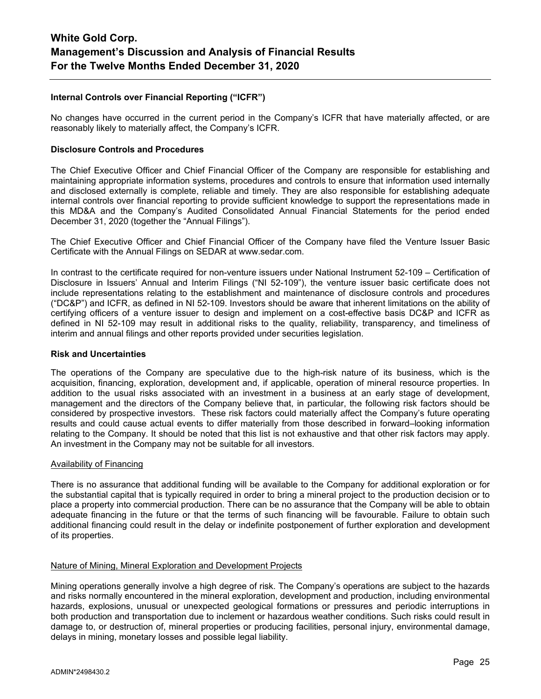## **Internal Controls over Financial Reporting ("ICFR")**

No changes have occurred in the current period in the Company's ICFR that have materially affected, or are reasonably likely to materially affect, the Company's ICFR.

### **Disclosure Controls and Procedures**

The Chief Executive Officer and Chief Financial Officer of the Company are responsible for establishing and maintaining appropriate information systems, procedures and controls to ensure that information used internally and disclosed externally is complete, reliable and timely. They are also responsible for establishing adequate internal controls over financial reporting to provide sufficient knowledge to support the representations made in this MD&A and the Company's Audited Consolidated Annual Financial Statements for the period ended December 31, 2020 (together the "Annual Filings").

The Chief Executive Officer and Chief Financial Officer of the Company have filed the Venture Issuer Basic Certificate with the Annual Filings on SEDAR at www.sedar.com.

In contrast to the certificate required for non-venture issuers under National Instrument 52-109 – Certification of Disclosure in Issuers' Annual and Interim Filings ("NI 52-109"), the venture issuer basic certificate does not include representations relating to the establishment and maintenance of disclosure controls and procedures ("DC&P") and ICFR, as defined in NI 52-109. Investors should be aware that inherent limitations on the ability of certifying officers of a venture issuer to design and implement on a cost-effective basis DC&P and ICFR as defined in NI 52-109 may result in additional risks to the quality, reliability, transparency, and timeliness of interim and annual filings and other reports provided under securities legislation.

#### **Risk and Uncertainties**

The operations of the Company are speculative due to the high-risk nature of its business, which is the acquisition, financing, exploration, development and, if applicable, operation of mineral resource properties. In addition to the usual risks associated with an investment in a business at an early stage of development, management and the directors of the Company believe that, in particular, the following risk factors should be considered by prospective investors. These risk factors could materially affect the Company's future operating results and could cause actual events to differ materially from those described in forward–looking information relating to the Company. It should be noted that this list is not exhaustive and that other risk factors may apply. An investment in the Company may not be suitable for all investors.

#### Availability of Financing

There is no assurance that additional funding will be available to the Company for additional exploration or for the substantial capital that is typically required in order to bring a mineral project to the production decision or to place a property into commercial production. There can be no assurance that the Company will be able to obtain adequate financing in the future or that the terms of such financing will be favourable. Failure to obtain such additional financing could result in the delay or indefinite postponement of further exploration and development of its properties.

### Nature of Mining, Mineral Exploration and Development Projects

Mining operations generally involve a high degree of risk. The Company's operations are subject to the hazards and risks normally encountered in the mineral exploration, development and production, including environmental hazards, explosions, unusual or unexpected geological formations or pressures and periodic interruptions in both production and transportation due to inclement or hazardous weather conditions. Such risks could result in damage to, or destruction of, mineral properties or producing facilities, personal injury, environmental damage, delays in mining, monetary losses and possible legal liability.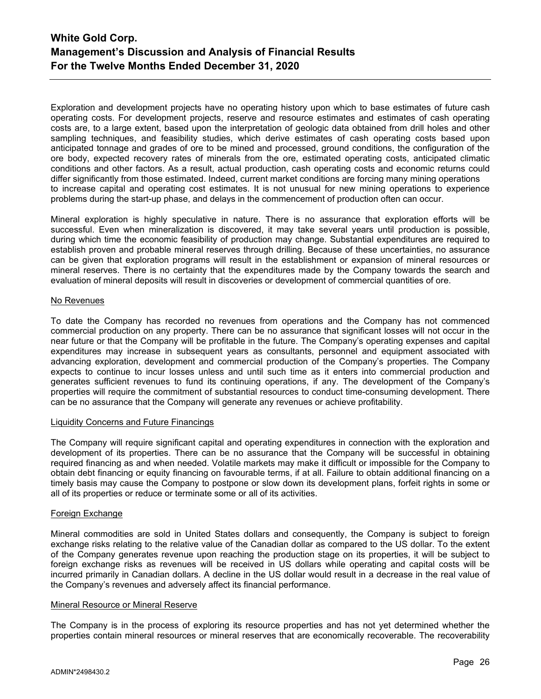Exploration and development projects have no operating history upon which to base estimates of future cash operating costs. For development projects, reserve and resource estimates and estimates of cash operating costs are, to a large extent, based upon the interpretation of geologic data obtained from drill holes and other sampling techniques, and feasibility studies, which derive estimates of cash operating costs based upon anticipated tonnage and grades of ore to be mined and processed, ground conditions, the configuration of the ore body, expected recovery rates of minerals from the ore, estimated operating costs, anticipated climatic conditions and other factors. As a result, actual production, cash operating costs and economic returns could differ significantly from those estimated. Indeed, current market conditions are forcing many mining operations to increase capital and operating cost estimates. It is not unusual for new mining operations to experience problems during the start-up phase, and delays in the commencement of production often can occur.

Mineral exploration is highly speculative in nature. There is no assurance that exploration efforts will be successful. Even when mineralization is discovered, it may take several years until production is possible, during which time the economic feasibility of production may change. Substantial expenditures are required to establish proven and probable mineral reserves through drilling. Because of these uncertainties, no assurance can be given that exploration programs will result in the establishment or expansion of mineral resources or mineral reserves. There is no certainty that the expenditures made by the Company towards the search and evaluation of mineral deposits will result in discoveries or development of commercial quantities of ore.

### No Revenues

To date the Company has recorded no revenues from operations and the Company has not commenced commercial production on any property. There can be no assurance that significant losses will not occur in the near future or that the Company will be profitable in the future. The Company's operating expenses and capital expenditures may increase in subsequent years as consultants, personnel and equipment associated with advancing exploration, development and commercial production of the Company's properties. The Company expects to continue to incur losses unless and until such time as it enters into commercial production and generates sufficient revenues to fund its continuing operations, if any. The development of the Company's properties will require the commitment of substantial resources to conduct time-consuming development. There can be no assurance that the Company will generate any revenues or achieve profitability.

### Liquidity Concerns and Future Financings

The Company will require significant capital and operating expenditures in connection with the exploration and development of its properties. There can be no assurance that the Company will be successful in obtaining required financing as and when needed. Volatile markets may make it difficult or impossible for the Company to obtain debt financing or equity financing on favourable terms, if at all. Failure to obtain additional financing on a timely basis may cause the Company to postpone or slow down its development plans, forfeit rights in some or all of its properties or reduce or terminate some or all of its activities.

### Foreign Exchange

Mineral commodities are sold in United States dollars and consequently, the Company is subject to foreign exchange risks relating to the relative value of the Canadian dollar as compared to the US dollar. To the extent of the Company generates revenue upon reaching the production stage on its properties, it will be subject to foreign exchange risks as revenues will be received in US dollars while operating and capital costs will be incurred primarily in Canadian dollars. A decline in the US dollar would result in a decrease in the real value of the Company's revenues and adversely affect its financial performance.

### Mineral Resource or Mineral Reserve

The Company is in the process of exploring its resource properties and has not yet determined whether the properties contain mineral resources or mineral reserves that are economically recoverable. The recoverability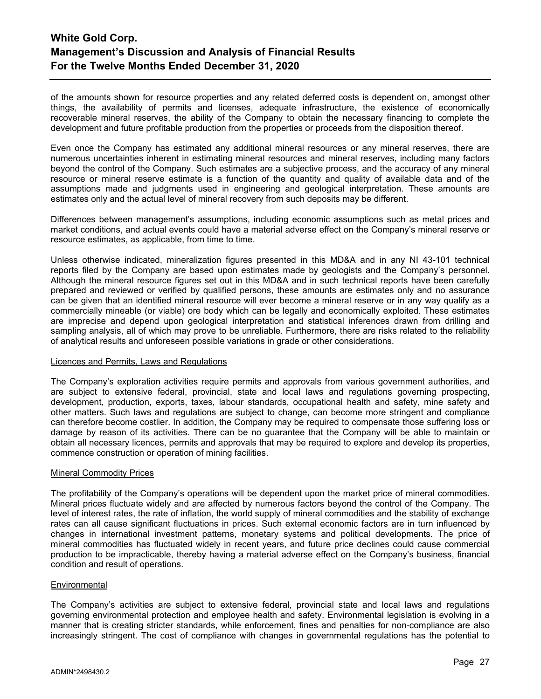of the amounts shown for resource properties and any related deferred costs is dependent on, amongst other things, the availability of permits and licenses, adequate infrastructure, the existence of economically recoverable mineral reserves, the ability of the Company to obtain the necessary financing to complete the development and future profitable production from the properties or proceeds from the disposition thereof.

Even once the Company has estimated any additional mineral resources or any mineral reserves, there are numerous uncertainties inherent in estimating mineral resources and mineral reserves, including many factors beyond the control of the Company. Such estimates are a subjective process, and the accuracy of any mineral resource or mineral reserve estimate is a function of the quantity and quality of available data and of the assumptions made and judgments used in engineering and geological interpretation. These amounts are estimates only and the actual level of mineral recovery from such deposits may be different.

Differences between management's assumptions, including economic assumptions such as metal prices and market conditions, and actual events could have a material adverse effect on the Company's mineral reserve or resource estimates, as applicable, from time to time.

Unless otherwise indicated, mineralization figures presented in this MD&A and in any NI 43-101 technical reports filed by the Company are based upon estimates made by geologists and the Company's personnel. Although the mineral resource figures set out in this MD&A and in such technical reports have been carefully prepared and reviewed or verified by qualified persons, these amounts are estimates only and no assurance can be given that an identified mineral resource will ever become a mineral reserve or in any way qualify as a commercially mineable (or viable) ore body which can be legally and economically exploited. These estimates are imprecise and depend upon geological interpretation and statistical inferences drawn from drilling and sampling analysis, all of which may prove to be unreliable. Furthermore, there are risks related to the reliability of analytical results and unforeseen possible variations in grade or other considerations.

### Licences and Permits, Laws and Regulations

The Company's exploration activities require permits and approvals from various government authorities, and are subject to extensive federal, provincial, state and local laws and regulations governing prospecting, development, production, exports, taxes, labour standards, occupational health and safety, mine safety and other matters. Such laws and regulations are subject to change, can become more stringent and compliance can therefore become costlier. In addition, the Company may be required to compensate those suffering loss or damage by reason of its activities. There can be no guarantee that the Company will be able to maintain or obtain all necessary licences, permits and approvals that may be required to explore and develop its properties, commence construction or operation of mining facilities.

### Mineral Commodity Prices

The profitability of the Company's operations will be dependent upon the market price of mineral commodities. Mineral prices fluctuate widely and are affected by numerous factors beyond the control of the Company. The level of interest rates, the rate of inflation, the world supply of mineral commodities and the stability of exchange rates can all cause significant fluctuations in prices. Such external economic factors are in turn influenced by changes in international investment patterns, monetary systems and political developments. The price of mineral commodities has fluctuated widely in recent years, and future price declines could cause commercial production to be impracticable, thereby having a material adverse effect on the Company's business, financial condition and result of operations.

### **Environmental**

The Company's activities are subject to extensive federal, provincial state and local laws and regulations governing environmental protection and employee health and safety. Environmental legislation is evolving in a manner that is creating stricter standards, while enforcement, fines and penalties for non-compliance are also increasingly stringent. The cost of compliance with changes in governmental regulations has the potential to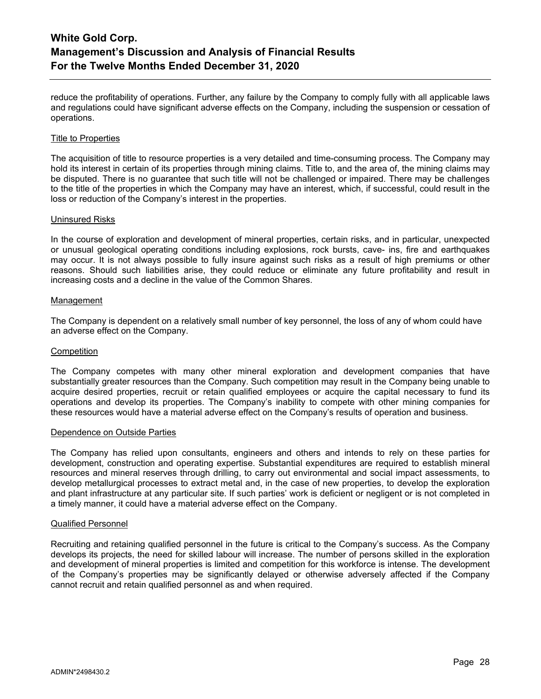reduce the profitability of operations. Further, any failure by the Company to comply fully with all applicable laws and regulations could have significant adverse effects on the Company, including the suspension or cessation of operations.

### Title to Properties

The acquisition of title to resource properties is a very detailed and time-consuming process. The Company may hold its interest in certain of its properties through mining claims. Title to, and the area of, the mining claims may be disputed. There is no guarantee that such title will not be challenged or impaired. There may be challenges to the title of the properties in which the Company may have an interest, which, if successful, could result in the loss or reduction of the Company's interest in the properties.

### Uninsured Risks

In the course of exploration and development of mineral properties, certain risks, and in particular, unexpected or unusual geological operating conditions including explosions, rock bursts, cave- ins, fire and earthquakes may occur. It is not always possible to fully insure against such risks as a result of high premiums or other reasons. Should such liabilities arise, they could reduce or eliminate any future profitability and result in increasing costs and a decline in the value of the Common Shares.

### Management

The Company is dependent on a relatively small number of key personnel, the loss of any of whom could have an adverse effect on the Company.

#### **Competition**

The Company competes with many other mineral exploration and development companies that have substantially greater resources than the Company. Such competition may result in the Company being unable to acquire desired properties, recruit or retain qualified employees or acquire the capital necessary to fund its operations and develop its properties. The Company's inability to compete with other mining companies for these resources would have a material adverse effect on the Company's results of operation and business.

#### Dependence on Outside Parties

The Company has relied upon consultants, engineers and others and intends to rely on these parties for development, construction and operating expertise. Substantial expenditures are required to establish mineral resources and mineral reserves through drilling, to carry out environmental and social impact assessments, to develop metallurgical processes to extract metal and, in the case of new properties, to develop the exploration and plant infrastructure at any particular site. If such parties' work is deficient or negligent or is not completed in a timely manner, it could have a material adverse effect on the Company.

#### Qualified Personnel

Recruiting and retaining qualified personnel in the future is critical to the Company's success. As the Company develops its projects, the need for skilled labour will increase. The number of persons skilled in the exploration and development of mineral properties is limited and competition for this workforce is intense. The development of the Company's properties may be significantly delayed or otherwise adversely affected if the Company cannot recruit and retain qualified personnel as and when required.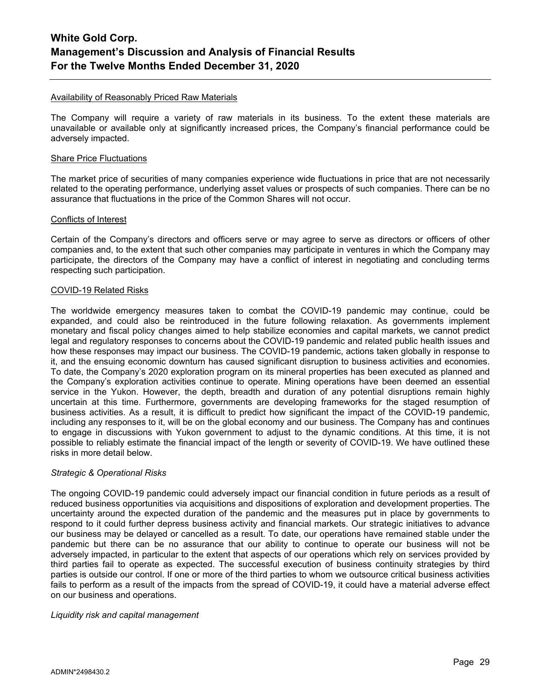### Availability of Reasonably Priced Raw Materials

The Company will require a variety of raw materials in its business. To the extent these materials are unavailable or available only at significantly increased prices, the Company's financial performance could be adversely impacted.

#### Share Price Fluctuations

The market price of securities of many companies experience wide fluctuations in price that are not necessarily related to the operating performance, underlying asset values or prospects of such companies. There can be no assurance that fluctuations in the price of the Common Shares will not occur.

### Conflicts of Interest

Certain of the Company's directors and officers serve or may agree to serve as directors or officers of other companies and, to the extent that such other companies may participate in ventures in which the Company may participate, the directors of the Company may have a conflict of interest in negotiating and concluding terms respecting such participation.

### COVID-19 Related Risks

The worldwide emergency measures taken to combat the COVID-19 pandemic may continue, could be expanded, and could also be reintroduced in the future following relaxation. As governments implement monetary and fiscal policy changes aimed to help stabilize economies and capital markets, we cannot predict legal and regulatory responses to concerns about the COVID-19 pandemic and related public health issues and how these responses may impact our business. The COVID-19 pandemic, actions taken globally in response to it, and the ensuing economic downturn has caused significant disruption to business activities and economies. To date, the Company's 2020 exploration program on its mineral properties has been executed as planned and the Company's exploration activities continue to operate. Mining operations have been deemed an essential service in the Yukon. However, the depth, breadth and duration of any potential disruptions remain highly uncertain at this time. Furthermore, governments are developing frameworks for the staged resumption of business activities. As a result, it is difficult to predict how significant the impact of the COVID-19 pandemic, including any responses to it, will be on the global economy and our business. The Company has and continues to engage in discussions with Yukon government to adjust to the dynamic conditions. At this time, it is not possible to reliably estimate the financial impact of the length or severity of COVID-19. We have outlined these risks in more detail below.

### *Strategic & Operational Risks*

The ongoing COVID-19 pandemic could adversely impact our financial condition in future periods as a result of reduced business opportunities via acquisitions and dispositions of exploration and development properties. The uncertainty around the expected duration of the pandemic and the measures put in place by governments to respond to it could further depress business activity and financial markets. Our strategic initiatives to advance our business may be delayed or cancelled as a result. To date, our operations have remained stable under the pandemic but there can be no assurance that our ability to continue to operate our business will not be adversely impacted, in particular to the extent that aspects of our operations which rely on services provided by third parties fail to operate as expected. The successful execution of business continuity strategies by third parties is outside our control. If one or more of the third parties to whom we outsource critical business activities fails to perform as a result of the impacts from the spread of COVID-19, it could have a material adverse effect on our business and operations.

#### *Liquidity risk and capital management*